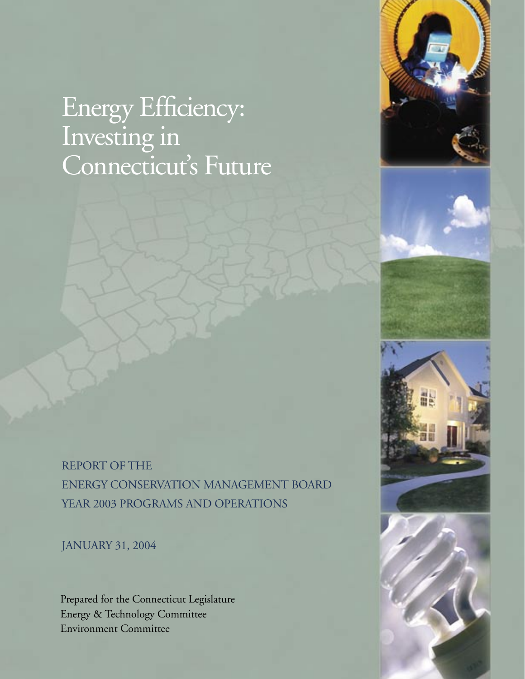# Energy Efficiency: Investing in Connecticut's Future





JANUARY 31, 2004

Prepared for the Connecticut Legislature Energy & Technology Committee Environment Committee



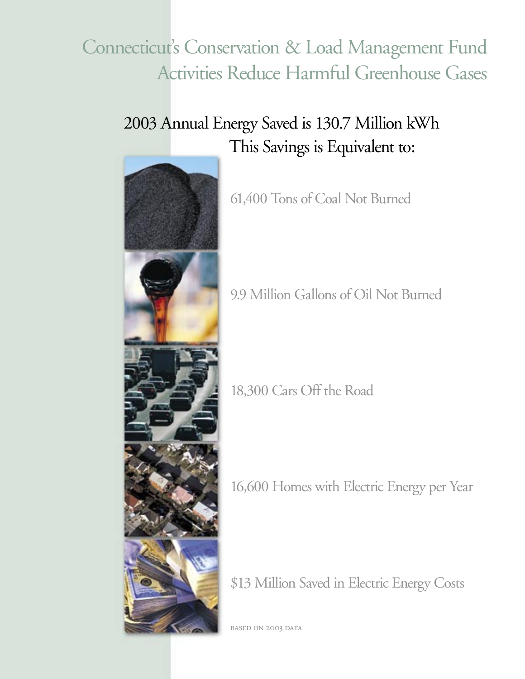# Connecticut's Conservation & Load Management Fund Activities Reduce Harmful Greenhouse Gases

# 2003 Annual Energy Saved is 130.7 Million kWh This Savings is Equivalent to:



61,400 Tons of Coal Not Burned

9.9 Million Gallons of Oil Not Burned

18,300 Cars Off the Road

16,600 Homes with Electric Energy per Year

\$13 Million Saved in Electric Energy Costs

BASED ON 2003 DATA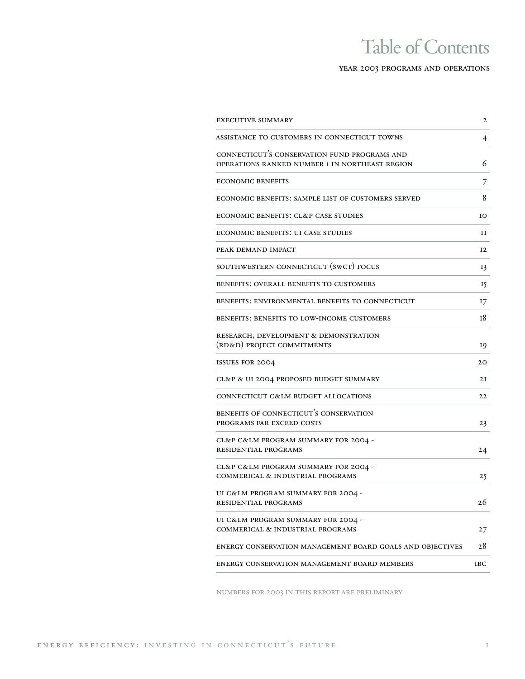## Table of Contents

#### year 2003 programs and operations

| <b>EXECUTIVE SUMMARY</b>                                                                       | 2   |
|------------------------------------------------------------------------------------------------|-----|
| ASSISTANCE TO CUSTOMERS IN CONNECTICUT TOWNS                                                   | 4   |
| CONNECTICUT'S CONSERVATION FUND PROGRAMS AND<br>OPERATIONS RANKED NUMBER 1 IN NORTHEAST REGION | 6   |
| <b>ECONOMIC BENEFITS</b>                                                                       | 7   |
| ECONOMIC BENEFITS: SAMPLE LIST OF CUSTOMERS SERVED                                             | 8   |
| ECONOMIC BENEFITS: CL&P CASE STUDIES                                                           | ΙO  |
| <b>ECONOMIC BENEFITS: UI CASE STUDIES</b>                                                      | 11  |
| PEAK DEMAND IMPACT                                                                             | 12  |
| SOUTHWESTERN CONNECTICUT (SWCT) FOCUS                                                          | 13  |
| <b>BENEFITS: OVERALL BENEFITS TO CUSTOMERS</b>                                                 | 15  |
| BENEFITS: ENVIRONMENTAL BENEFITS TO CONNECTICUT                                                | 17  |
| BENEFITS: BENEFITS TO LOW-INCOME CUSTOMERS                                                     | т8  |
| RESEARCH, DEVELOPMENT & DEMONSTRATION<br>(RD&D) PROJECT COMMITMENTS                            | 19  |
| <b>ISSUES FOR 2004</b>                                                                         | 20  |
| CL&P & UI 2004 PROPOSED BUDGET SUMMARY                                                         | 2I  |
| CONNECTICUT C&LM BUDGET ALLOCATIONS                                                            | 22  |
| BENEFITS OF CONNECTICUT'S CONSERVATION<br>PROGRAMS FAR EXCEED COSTS                            | 23  |
| CL&P C&LM PROGRAM SUMMARY FOR 2004 -<br>RESIDENTIAL PROGRAMS                                   | 24  |
| CL&P C&LM PROGRAM SUMMARY FOR 2004 -<br>COMMERICAL & INDUSTRIAL PROGRAMS                       | 25  |
| UI C&LM PROGRAM SUMMARY FOR 2004 -<br>RESIDENTIAL PROGRAMS                                     | 26  |
| UI C&LM PROGRAM SUMMARY FOR 2004 -<br>COMMERICAL & INDUSTRIAL PROGRAMS                         | 27  |
| ENERGY CONSERVATION MANAGEMENT BOARD GOALS AND OBJECTIVES                                      | 28  |
| ENERGY CONSERVATION MANAGEMENT BOARD MEMBERS                                                   | IBC |

numbers for 2003 in this report are preliminary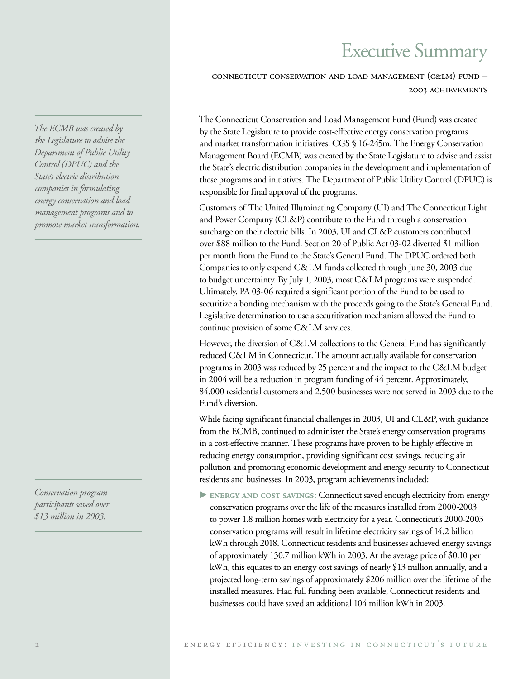## Executive Summary

connecticut conservation and load management (c&lm) fund – 2003 achievements

The Connecticut Conservation and Load Management Fund (Fund) was created by the State Legislature to provide cost-effective energy conservation programs and market transformation initiatives. CGS § 16-245m. The Energy Conservation Management Board (ECMB) was created by the State Legislature to advise and assist the State's electric distribution companies in the development and implementation of these programs and initiatives. The Department of Public Utility Control (DPUC) is responsible for final approval of the programs.

Customers of The United Illuminating Company (UI) and The Connecticut Light and Power Company (CL&P) contribute to the Fund through a conservation surcharge on their electric bills. In 2003, UI and CL&P customers contributed over \$88 million to the Fund. Section 20 of Public Act 03-02 diverted \$1 million per month from the Fund to the State's General Fund. The DPUC ordered both Companies to only expend C&LM funds collected through June 30, 2003 due to budget uncertainty. By July 1, 2003, most C&LM programs were suspended. Ultimately, PA 03-06 required a significant portion of the Fund to be used to securitize a bonding mechanism with the proceeds going to the State's General Fund. Legislative determination to use a securitization mechanism allowed the Fund to continue provision of some C&LM services.

However, the diversion of C&LM collections to the General Fund has significantly reduced C&LM in Connecticut. The amount actually available for conservation programs in 2003 was reduced by 25 percent and the impact to the C&LM budget in 2004 will be a reduction in program funding of 44 percent. Approximately, 84,000 residential customers and 2,500 businesses were not served in 2003 due to the Fund's diversion.

While facing significant financial challenges in 2003, UI and CL&P, with guidance from the ECMB, continued to administer the State's energy conservation programs in a cost-effective manner. These programs have proven to be highly effective in reducing energy consumption, providing significant cost savings, reducing air pollution and promoting economic development and energy security to Connecticut residents and businesses. In 2003, program achievements included:

**ENERGY AND COST SAVINGS: Connecticut saved enough electricity from energy** conservation programs over the life of the measures installed from 2000-2003 to power 1.8 million homes with electricity for a year. Connecticut's 2000-2003 conservation programs will result in lifetime electricity savings of 14.2 billion kWh through 2018. Connecticut residents and businesses achieved energy savings of approximately 130.7 million kWh in 2003. At the average price of \$0.10 per kWh, this equates to an energy cost savings of nearly \$13 million annually, and a projected long-term savings of approximately \$206 million over the lifetime of the installed measures. Had full funding been available, Connecticut residents and businesses could have saved an additional 104 million kWh in 2003.

*The ECMB was created by the Legislature to advise the Department of Public Utility Control (DPUC) and the State's electric distribution companies in formulating energy conservation and load management programs and to promote market transformation.*

*Conservation program participants saved over \$13 million in 2003.*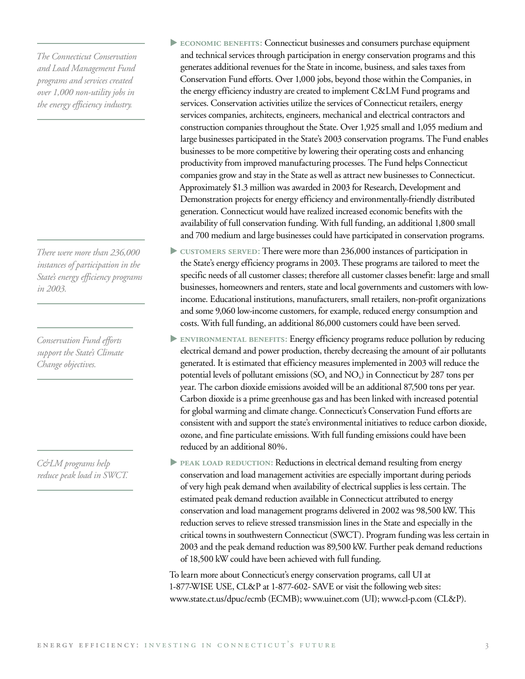*The Connecticut Conservation and Load Management Fund programs and services created over 1,000 non-utility jobs in the energy efficiency industry.* 

*There were more than 236,000 instances of participation in the State's energy efficiency programs in 2003.*

*Conservation Fund efforts support the State's Climate Change objectives.*

*C&LM programs help reduce peak load in SWCT.*

- **ECONOMIC BENEFITS: Connecticut businesses and consumers purchase equipment** and technical services through participation in energy conservation programs and this generates additional revenues for the State in income, business, and sales taxes from Conservation Fund efforts. Over 1,000 jobs, beyond those within the Companies, in the energy efficiency industry are created to implement C&LM Fund programs and services. Conservation activities utilize the services of Connecticut retailers, energy services companies, architects, engineers, mechanical and electrical contractors and construction companies throughout the State. Over 1,925 small and 1,055 medium and large businesses participated in the State's 2003 conservation programs. The Fund enables businesses to be more competitive by lowering their operating costs and enhancing productivity from improved manufacturing processes. The Fund helps Connecticut companies grow and stay in the State as well as attract new businesses to Connecticut. Approximately \$1.3 million was awarded in 2003 for Research, Development and Demonstration projects for energy efficiency and environmentally-friendly distributed generation. Connecticut would have realized increased economic benefits with the availability of full conservation funding. With full funding, an additional 1,800 small and 700 medium and large businesses could have participated in conservation programs.
- **customers served:** There were more than 236,000 instances of participation in the State's energy efficiency programs in 2003. These programs are tailored to meet the specific needs of all customer classes; therefore all customer classes benefit: large and small businesses, homeowners and renters, state and local governments and customers with lowincome. Educational institutions, manufacturers, small retailers, non-profit organizations and some 9,060 low-income customers, for example, reduced energy consumption and costs. With full funding, an additional 86,000 customers could have been served.
- **environmental benefits:** Energy efficiency programs reduce pollution by reducing electrical demand and power production, thereby decreasing the amount of air pollutants generated. It is estimated that efficiency measures implemented in 2003 will reduce the potential levels of pollutant emissions  $(SO_x)$  and  $NO_x$ ) in Connecticut by 287 tons per year. The carbon dioxide emissions avoided will be an additional 87,500 tons per year. Carbon dioxide is a prime greenhouse gas and has been linked with increased potential for global warming and climate change. Connecticut's Conservation Fund efforts are consistent with and support the state's environmental initiatives to reduce carbon dioxide, ozone, and fine particulate emissions. With full funding emissions could have been reduced by an additional 80%.
- **PEAK LOAD REDUCTION: Reductions in electrical demand resulting from energy** conservation and load management activities are especially important during periods of very high peak demand when availability of electrical supplies is less certain. The estimated peak demand reduction available in Connecticut attributed to energy conservation and load management programs delivered in 2002 was 98,500 kW. This reduction serves to relieve stressed transmission lines in the State and especially in the critical towns in southwestern Connecticut (SWCT). Program funding was less certain in 2003 and the peak demand reduction was 89,500 kW. Further peak demand reductions of 18,500 kW could have been achieved with full funding.

To learn more about Connecticut's energy conservation programs, call UI at 1-877-WISE USE, CL&P at 1-877-602- SAVE or visit the following web sites: www.state.ct.us/dpuc/ecmb (ECMB); www.uinet.com (UI); www.cl-p.com (CL&P).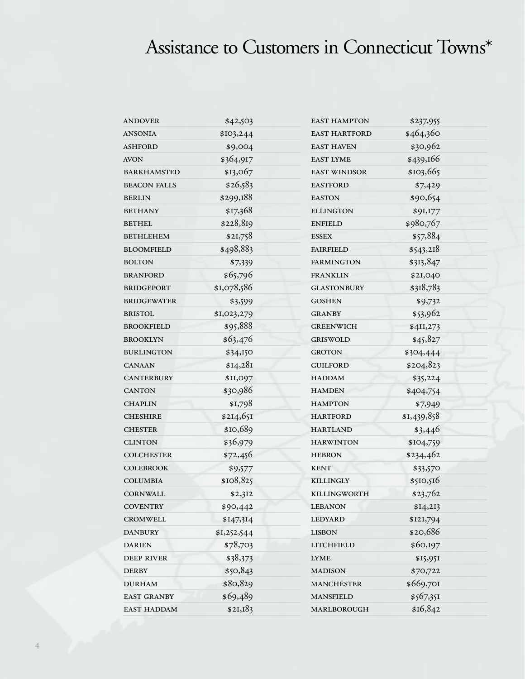# Assistance to Customers in Connecticut Towns\*

| <b>ANDOVER</b>      | \$42,503    | <b>EAST HAMPTON</b>  | \$237,955   |
|---------------------|-------------|----------------------|-------------|
| <b>ANSONIA</b>      | \$103,244   | <b>EAST HARTFORD</b> | \$464,360   |
| <b>ASHFORD</b>      | \$9,004     | <b>EAST HAVEN</b>    | \$30,962    |
| <b>AVON</b>         | \$364,917   | <b>EAST LYME</b>     | \$439,166   |
| <b>BARKHAMSTED</b>  | \$13,067    | <b>EAST WINDSOR</b>  | \$103,665   |
| <b>BEACON FALLS</b> | \$26,583    | <b>EASTFORD</b>      | \$7,429     |
| <b>BERLIN</b>       | \$299,188   | <b>EASTON</b>        | \$90,654    |
| <b>BETHANY</b>      | \$17,368    | <b>ELLINGTON</b>     | \$91,177    |
| <b>BETHEL</b>       | \$228,819   | <b>ENFIELD</b>       | \$980,767   |
| <b>BETHLEHEM</b>    | \$21,758    | <b>ESSEX</b>         | \$57,884    |
| <b>BLOOMFIELD</b>   | \$498,883   | <b>FAIRFIELD</b>     | \$543,218   |
| <b>BOLTON</b>       | \$7,339     | <b>FARMINGTON</b>    | \$313,847   |
| <b>BRANFORD</b>     | \$65,796    | <b>FRANKLIN</b>      | \$21,040    |
| <b>BRIDGEPORT</b>   | \$1,078,586 | <b>GLASTONBURY</b>   | \$318,783   |
| <b>BRIDGEWATER</b>  | \$3,599     | <b>GOSHEN</b>        | \$9,732     |
| <b>BRISTOL</b>      | \$1,023,279 | <b>GRANBY</b>        | \$53,962    |
| <b>BROOKFIELD</b>   | \$95,888    | <b>GREENWICH</b>     | \$4II,273   |
| <b>BROOKLYN</b>     | \$63,476    | <b>GRISWOLD</b>      | \$45,827    |
| <b>BURLINGTON</b>   | \$34,150    | <b>GROTON</b>        | \$304,444   |
| <b>CANAAN</b>       | \$I4,28I    | <b>GUILFORD</b>      | \$204,823   |
| <b>CANTERBURY</b>   | \$II,097    | <b>HADDAM</b>        | \$35,224    |
| <b>CANTON</b>       | \$30,986    | <b>HAMDEN</b>        | \$404,754   |
| <b>CHAPLIN</b>      | \$1,798     | <b>HAMPTON</b>       | \$7,949     |
| <b>CHESHIRE</b>     | \$2I4,65I   | <b>HARTFORD</b>      | \$1,439,858 |
| <b>CHESTER</b>      | \$10,689    | <b>HARTLAND</b>      | \$3,446     |
| <b>CLINTON</b>      | \$36,979    | <b>HARWINTON</b>     | \$104,759   |
| <b>COLCHESTER</b>   | \$72,456    | <b>HEBRON</b>        | \$234,462   |
| <b>COLEBROOK</b>    | \$9,577     | <b>KENT</b>          | \$33,570    |
| <b>COLUMBIA</b>     | \$108,825   | <b>KILLINGLY</b>     | \$510,516   |
| <b>CORNWALL</b>     | \$2,312     | <b>KILLINGWORTH</b>  | \$23,762    |
| <b>COVENTRY</b>     | \$90,442    | <b>LEBANON</b>       | \$14,213    |
| <b>CROMWELL</b>     | \$147,314   | LEDYARD              | \$121,794   |
| <b>DANBURY</b>      | \$1,252,544 | <b>LISBON</b>        | \$20,686    |
| <b>DARIEN</b>       | \$78,703    | <b>LITCHFIELD</b>    | \$60,197    |
| <b>DEEP RIVER</b>   | \$38,373    | <b>LYME</b>          | \$15,951    |
| <b>DERBY</b>        | \$50,843    | <b>MADISON</b>       | \$70,722    |
| <b>DURHAM</b>       | \$80,829    | <b>MANCHESTER</b>    | \$669,701   |
| <b>EAST GRANBY</b>  | \$69,489    | <b>MANSFIELD</b>     | \$567,351   |
| EAST HADDAM         | \$2I,183    | MARLBOROUGH          | \$16,842    |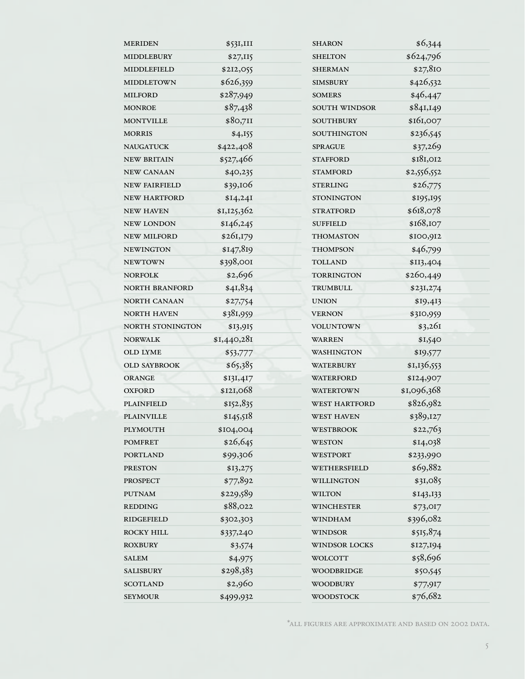| <b>MERIDEN</b>        | \$531,III   | <b>SHARON</b>        | \$6,344     |
|-----------------------|-------------|----------------------|-------------|
| <b>MIDDLEBURY</b>     | \$27,115    | <b>SHELTON</b>       | \$624,796   |
| MIDDLEFIELD           | \$212,055   | <b>SHERMAN</b>       | \$27,810    |
| <b>MIDDLETOWN</b>     | \$626,359   | <b>SIMSBURY</b>      | \$426,532   |
| <b>MILFORD</b>        | \$287,949   | <b>SOMERS</b>        | \$46,447    |
| <b>MONROE</b>         | \$87,438    | SOUTH WINDSOR        | \$841,149   |
| <b>MONTVILLE</b>      | \$80,711    | <b>SOUTHBURY</b>     | \$161,007   |
| <b>MORRIS</b>         | \$4,155     | <b>SOUTHINGTON</b>   | \$236,545   |
| <b>NAUGATUCK</b>      | \$422,408   | <b>SPRAGUE</b>       | \$37,269    |
| <b>NEW BRITAIN</b>    | \$527,466   | <b>STAFFORD</b>      | \$181,012   |
| <b>NEW CANAAN</b>     | \$40,235    | <b>STAMFORD</b>      | \$2,556,552 |
| <b>NEW FAIRFIELD</b>  | \$39,106    | <b>STERLING</b>      | \$26,775    |
| <b>NEW HARTFORD</b>   | \$14,241    | <b>STONINGTON</b>    | \$195,195   |
| <b>NEW HAVEN</b>      | \$1,125,362 | <b>STRATFORD</b>     | \$618,078   |
| <b>NEW LONDON</b>     | \$146,245   | <b>SUFFIELD</b>      | \$168,107   |
| <b>NEW MILFORD</b>    | \$261,179   | <b>THOMASTON</b>     | \$100,912   |
| <b>NEWINGTON</b>      | \$147,819   | THOMPSON             | \$46,799    |
| <b>NEWTOWN</b>        | \$398,001   | <b>TOLLAND</b>       | \$113,404   |
| <b>NORFOLK</b>        | \$2,696     | <b>TORRINGTON</b>    | \$260,449   |
| <b>NORTH BRANFORD</b> | \$4I,834    | TRUMBULL             | \$231,274   |
| NORTH CANAAN          | \$27,754    | <b>UNION</b>         | \$19,413    |
| <b>NORTH HAVEN</b>    | \$381,959   | <b>VERNON</b>        | \$310,959   |
| NORTH STONINGTON      | \$13,915    | <b>VOLUNTOWN</b>     | \$3,26I     |
| <b>NORWALK</b>        | \$I,440,28I | <b>WARREN</b>        | \$1,540     |
| <b>OLD LYME</b>       | \$53,777    | <b>WASHINGTON</b>    | \$19,577    |
| <b>OLD SAYBROOK</b>   | \$65,385    | <b>WATERBURY</b>     | \$1,136,553 |
| <b>ORANGE</b>         | \$131,417   | <b>WATERFORD</b>     | \$124,907   |
| <b>OXFORD</b>         | \$121,068   | <b>WATERTOWN</b>     | \$1,096,368 |
| <b>PLAINFIELD</b>     | \$152,835   | <b>WEST HARTFORD</b> | \$826,982   |
| <b>PLAINVILLE</b>     | \$145,518   | <b>WEST HAVEN</b>    | \$389,127   |
| <b>PLYMOUTH</b>       | \$104,004   | WESTBROOK            | \$22,763    |
| <b>POMFRET</b>        | \$26,645    | <b>WESTON</b>        | \$14,038    |
| <b>PORTLAND</b>       | \$99,306    | <b>WESTPORT</b>      | \$233,990   |
| <b>PRESTON</b>        | \$13,275    | WETHERSFIELD         | \$69,882    |
| PROSPECT              | \$77,892    | WILLINGTON           | \$31,085    |
| <b>PUTNAM</b>         | \$229,589   | <b>WILTON</b>        | \$143,133   |
| <b>REDDING</b>        | \$88,022    | <b>WINCHESTER</b>    | \$73,017    |
| <b>RIDGEFIELD</b>     | \$302,303   | <b>WINDHAM</b>       | \$396,082   |
| ROCKY HILL            | \$337,240   | <b>WINDSOR</b>       | \$515,874   |
| <b>ROXBURY</b>        | \$3,574     | <b>WINDSOR LOCKS</b> | \$127,194   |
| SALEM                 | \$4,975     | <b>WOLCOTT</b>       | \$58,696    |
| <b>SALISBURY</b>      | \$298,383   | <b>WOODBRIDGE</b>    | \$50,545    |
| <b>SCOTLAND</b>       | \$2,960     | <b>WOODBURY</b>      | \$77,917    |
| <b>SEYMOUR</b>        | \$499,932   | <b>WOODSTOCK</b>     | \$76,682    |

\*all figures are approximate and based on 2002 data.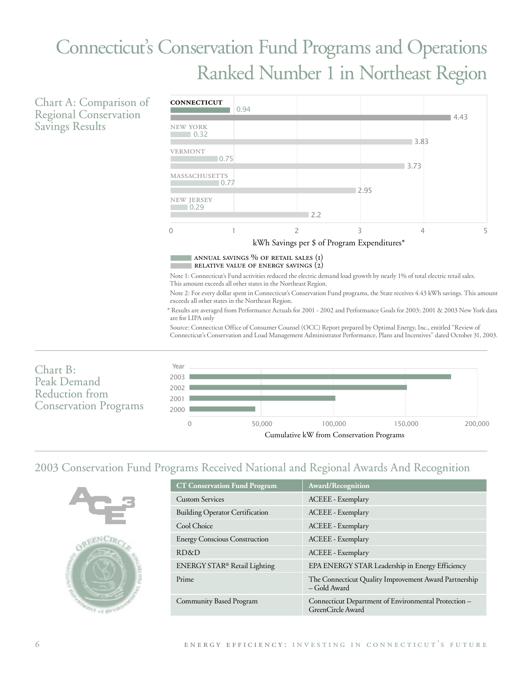# **Connecticut's Conservation Fund Programs and Operations** Ranked Number 1 in Northeast Region

Chart A: Comparison of **Regional Conservation Savings Results** 



Source: Connecticut Office of Consumer Counsel (OCC) Report prepared by Optimal Energy, Inc., entitled "Review of Connecticut's Conservation and Load Management Administrator Performance, Plans and Incentives" dated October 31, 2003.



### 2003 Conservation Fund Programs Received National and Regional Awards And Recognition

|                                        | exand recent carried in and any regional return range range recognition   |
|----------------------------------------|---------------------------------------------------------------------------|
| <b>CT Conservation Fund Program</b>    | Award/Recognition                                                         |
| <b>Custom Services</b>                 | ACEEE - Exemplary                                                         |
| <b>Building Operator Certification</b> | <b>ACEEE</b> - Exemplary                                                  |
| Cool Choice                            | <b>ACEEE</b> - Exemplary                                                  |
| <b>Energy Conscious Construction</b>   | ACEEE - Exemplary                                                         |
| RD&D                                   | <b>ACEEE</b> - Exemplary                                                  |
| ENERGY STAR® Retail Lighting           | EPA ENERGY STAR Leadership in Energy Efficiency                           |
| Prime                                  | The Connecticut Quality Improvement Award Partnership<br>$-$ Gold Award   |
| Community Based Program                | Connecticut Department of Environmental Protection -<br>GreenCircle Award |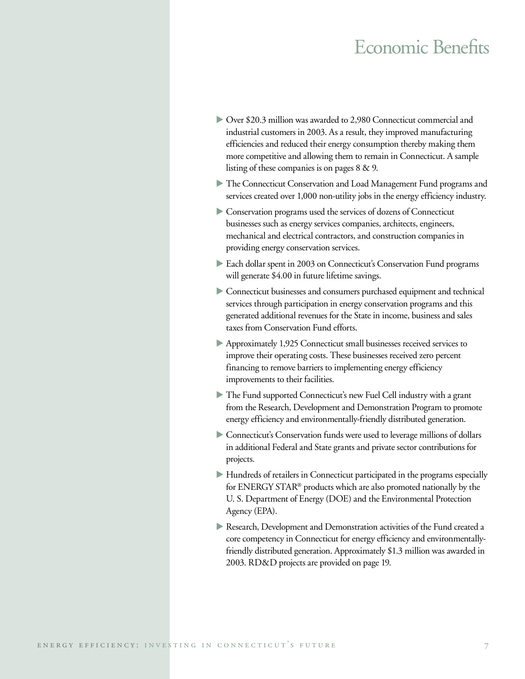## Economic Benefits

- Over \$20.3 million was awarded to 2,980 Connecticut commercial and industrial customers in 2003. As a result, they improved manufacturing efficiencies and reduced their energy consumption thereby making them more competitive and allowing them to remain in Connecticut. A sample listing of these companies is on pages 8 & 9.
- The Connecticut Conservation and Load Management Fund programs and services created over 1,000 non-utility jobs in the energy efficiency industry.
- Conservation programs used the services of dozens of Connecticut businesses such as energy services companies, architects, engineers, mechanical and electrical contractors, and construction companies in providing energy conservation services.
- Each dollar spent in 2003 on Connecticut's Conservation Fund programs will generate \$4.00 in future lifetime savings.
- Connecticut businesses and consumers purchased equipment and technical services through participation in energy conservation programs and this generated additional revenues for the State in income, business and sales taxes from Conservation Fund efforts.
- Approximately 1,925 Connecticut small businesses received services to improve their operating costs. These businesses received zero percent financing to remove barriers to implementing energy efficiency improvements to their facilities.
- The Fund supported Connecticut's new Fuel Cell industry with a grant from the Research, Development and Demonstration Program to promote energy efficiency and environmentally-friendly distributed generation.
- Connecticut's Conservation funds were used to leverage millions of dollars in additional Federal and State grants and private sector contributions for projects.
- Hundreds of retailers in Connecticut participated in the programs especially for ENERGY STAR® products which are also promoted nationally by the U. S. Department of Energy (DOE) and the Environmental Protection Agency (EPA).
- Research, Development and Demonstration activities of the Fund created a core competency in Connecticut for energy efficiency and environmentallyfriendly distributed generation. Approximately \$1.3 million was awarded in 2003. RD&D projects are provided on page 19.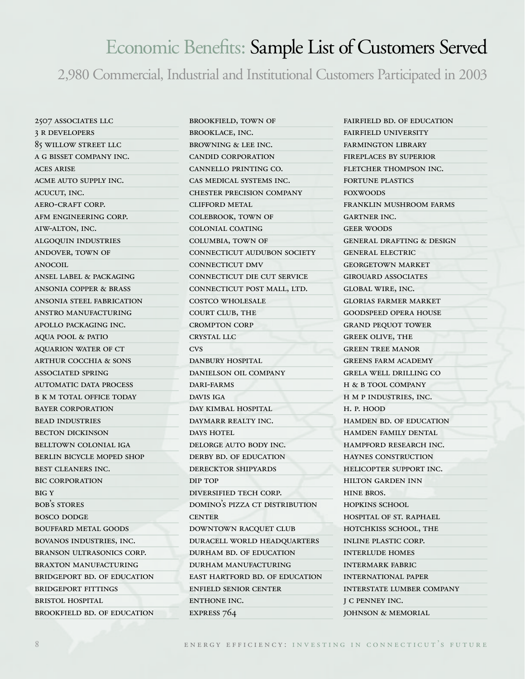## Economic Benefits: Sample List of Customers Served

2,980 Commercial, Industrial and Institutional Customers Participated in 2003

2507 associates llc 3 r developers 85 willow street llc a g bisset company inc. aces arise acme auto supply inc. acucut, inc. aero-craft corp. afm engineering corp. aiw-alton, inc. algoquin industries andover, town of anocoil ansel label & packaging ansonia copper & brass ansonia steel fabrication anstro manufacturing apollo packaging inc. aqua pool & patio aquarion water of ct arthur cocchia & sons associated spring automatic data process **B K M TOTAL OFFICE TODAY** bayer corporation bead industries becton dickinson belltown colonial iga berlin bicycle moped shop best cleaners inc. bic corporation **BIG Y** bob's stores bosco dodge bouffard metal goods bovanos industries, inc. branson ultrasonics corp. BRAXTON MANUFACTURING bridgeport bd. of education bridgeport fittings bristol hospital

brookfield bd. of education

brookfield, town of brooklace, inc. browning & lee inc. candid corporation cannello printing co. cas medical systems inc. chester precision company clifford metal colebrook, town of colonial coating columbia, town of connecticut audubon society connecticut dmv connecticut die cut service connecticut post mall, ltd. costco wholesale court club, the crompton corp crystal llc cvs danbury hospital danielson oil company dari-farms davis iga day kimbal hospital daymarr realty inc. DAYS HOTEL delorge auto body inc. derby bd. of education derecktor shipyards dip top diversified tech corp. domino's pizza ct distribution **CENTER** downtown racquet club duracell world headquarters durham bd. of education durham manufacturing east hartford bd. of education enfield senior center enthone inc. express 764

fairfield bd. of education fairfield university farmington library fireplaces by superior fletcher thompson inc. FORTUNE PLASTICS foxwoods franklin mushroom farms gartner inc. geer woods general drafting & design general electric georgetown market girouard associates global wire, inc. glorias farmer market goodspeed opera house grand pequot tower greek olive, the green tree manor greens farm academy grela well drilling co h & b tool company h m p industries, inc. h. p. hood hamden bd. of education hamden family dental hampford research inc. haynes construction helicopter support inc. hilton garden inn hine bros. hopkins school hospital of st. raphael hotchkiss school, the inline plastic corp. interlude homes intermark fabric international paper interstate lumber company j c penney inc. johnson & memorial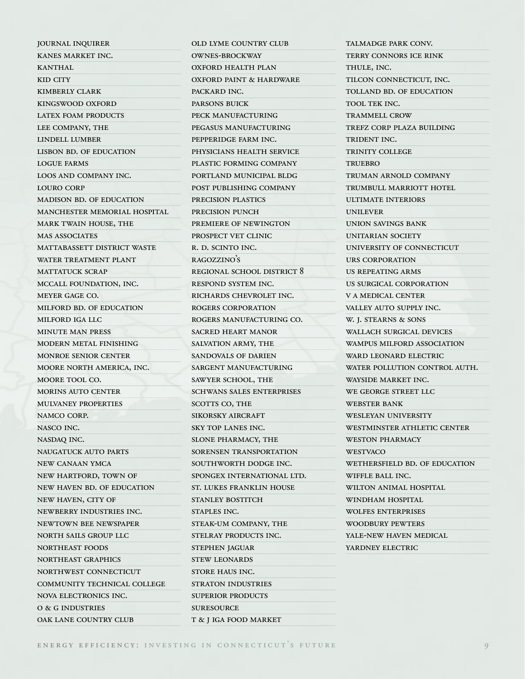journal inquirer kanes market inc. **KANTHAL** kid city kimberly clark kingswood oxford latex foam products lee company, the lindell lumber lisbon bd. of education logue farms loos and company inc. louro corp madison bd. of education manchester memorial hospital mark twain house, the mas associates MATTABASSETT DISTRICT WASTE water treatment plant MATTATUCK SCRAP mccall foundation, inc. meyer gage co. milford bd. of education milford iga llc minute man press modern metal finishing monroe senior center moore north america, inc. moore tool co. morins auto center mulvaney properties namco corp. nasco inc. nasdaq inc. naugatuck auto parts new canaan ymca new hartford, town of new haven bd. of education new haven, city of newberry industries inc. newtown bee newspaper north sails group llc northeast foods northeast graphics northwest connecticut community technical college nova electronics inc. o & g industries OAK LANE COUNTRY CLUB

old lyme country club ownes-brockway oxford health plan oxford paint & hardware packard inc. parsons buick peck manufacturing pegasus manufacturing pepperidge farm inc. physicians health service plastic forming company portland municipal bldg post publishing company precision plastics precision punch premiere of newington prospect vet clinic r. d. scinto inc. ragozzino's regional school district 8 respond system inc. richards chevrolet inc. rogers corporation rogers manufacturing co. sacred heart manor salvation army, the sandovals of darien sargent manufacturing sawyer school, the schwans sales enterprises scotts co, the sikorsky aircraft sky top lanes inc. slone pharmacy, the sorensen transportation southworth dodge inc. spongex international ltd. st. lukes franklin house stanley bostitch staples inc. steak-um company, the stelray products inc. stephen jaguar stew leonards store haus inc. straton industries superior products suresource

talmadge park conv. terry connors ice rink THULE, INC. tilcon connecticut, inc. tolland bd. of education tool tek inc. TRAMMELL CROW trefz corp plaza building TRIDENT INC. trinity college **TRUEBRO** truman arnold company trumbull marriott hotel ultimate interiors unilever union savings bank UNITARIAN SOCIETY university of connecticut urs corporation us repeating arms us surgical corporation v a medical center valley auto supply inc. w. j. stearns & sons wallach surgical devices wampus milford association ward leonard electric WATER POLLUTION CONTROL AUTH. wayside market inc. we george street llc WEBSTER BANK wesleyan university westminster athletic center weston pharmacy WESTVACO wethersfield bd. of education wiffle ball inc. WILTON ANIMAL HOSPITAL windham hospital wolfes enterprises WOODBURY PEWTERS yale-new haven medical yardney electric

t & j iga food market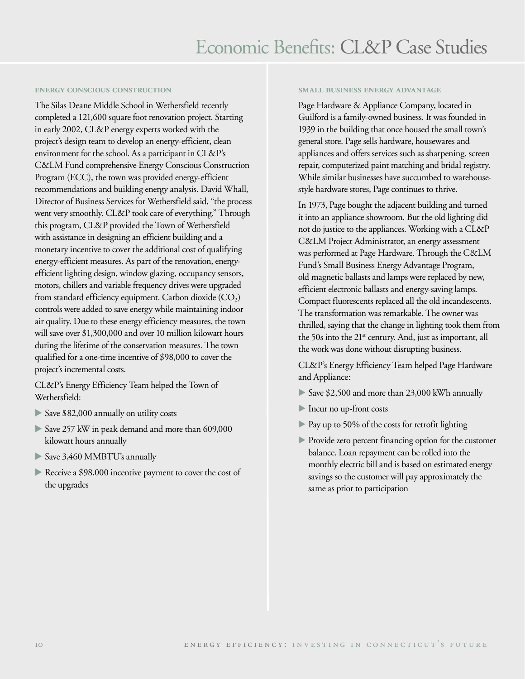#### **energy conscious construction**

The Silas Deane Middle School in Wethersfield recently completed a 121,600 square foot renovation project. Starting in early 2002, CL&P energy experts worked with the project's design team to develop an energy-efficient, clean environment for the school. As a participant in CL&P's C&LM Fund comprehensive Energy Conscious Construction Program (ECC), the town was provided energy-efficient recommendations and building energy analysis. David Whall, Director of Business Services for Wethersfield said, "the process went very smoothly. CL&P took care of everything." Through this program, CL&P provided the Town of Wethersfield with assistance in designing an efficient building and a monetary incentive to cover the additional cost of qualifying energy-efficient measures. As part of the renovation, energyefficient lighting design, window glazing, occupancy sensors, motors, chillers and variable frequency drives were upgraded from standard efficiency equipment. Carbon dioxide  $(CO_2)$ controls were added to save energy while maintaining indoor air quality. Due to these energy efficiency measures, the town will save over \$1,300,000 and over 10 million kilowatt hours during the lifetime of the conservation measures. The town qualified for a one-time incentive of \$98,000 to cover the project's incremental costs.

CL&P's Energy Efficiency Team helped the Town of Wethersfield:

- Save \$82,000 annually on utility costs
- Save 257 kW in peak demand and more than 609,000 kilowatt hours annually
- Save 3,460 MMBTU's annually
- Receive a \$98,000 incentive payment to cover the cost of the upgrades

#### **small business energy advantage**

Page Hardware & Appliance Company, located in Guilford is a family-owned business. It was founded in 1939 in the building that once housed the small town's general store. Page sells hardware, housewares and appliances and offers services such as sharpening, screen repair, computerized paint matching and bridal registry. While similar businesses have succumbed to warehousestyle hardware stores, Page continues to thrive.

In 1973, Page bought the adjacent building and turned it into an appliance showroom. But the old lighting did not do justice to the appliances. Working with a CL&P C&LM Project Administrator, an energy assessment was performed at Page Hardware. Through the C&LM Fund's Small Business Energy Advantage Program, old magnetic ballasts and lamps were replaced by new, efficient electronic ballasts and energy-saving lamps. Compact fluorescents replaced all the old incandescents. The transformation was remarkable. The owner was thrilled, saying that the change in lighting took them from the 50s into the 21st century. And, just as important, all the work was done without disrupting business.

CL&P's Energy Efficiency Team helped Page Hardware and Appliance:

- Save \$2,500 and more than 23,000 kWh annually
- Incur no up-front costs
- Pay up to 50% of the costs for retrofit lighting
- **Provide zero percent financing option for the customer** balance. Loan repayment can be rolled into the monthly electric bill and is based on estimated energy savings so the customer will pay approximately the same as prior to participation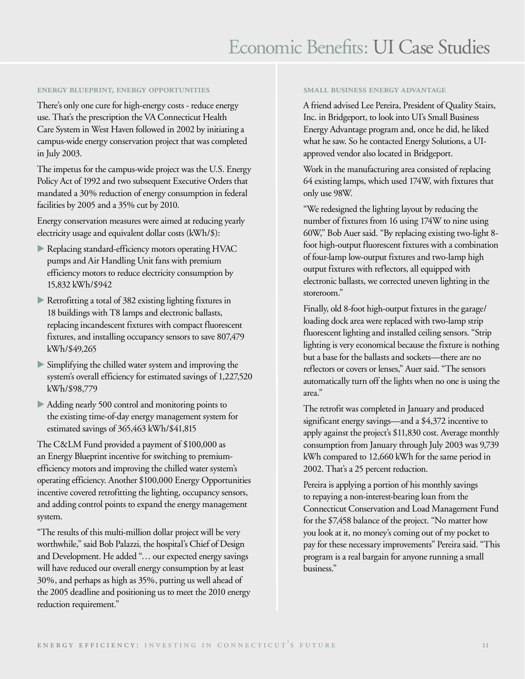#### **energy blueprint, energy opportunities**

There's only one cure for high-energy costs - reduce energy use. That's the prescription the VA Connecticut Health Care System in West Haven followed in 2002 by initiating a campus-wide energy conservation project that was completed in July 2003.

The impetus for the campus-wide project was the U.S. Energy Policy Act of 1992 and two subsequent Executive Orders that mandated a 30% reduction of energy consumption in federal facilities by 2005 and a 35% cut by 2010.

Energy conservation measures were aimed at reducing yearly electricity usage and equivalent dollar costs (kWh/\$):

- Replacing standard-efficiency motors operating HVAC pumps and Air Handling Unit fans with premium efficiency motors to reduce electricity consumption by 15,832 kWh/\$942
- Retrofitting a total of 382 existing lighting fixtures in 18 buildings with T8 lamps and electronic ballasts, replacing incandescent fixtures with compact fluorescent fixtures, and installing occupancy sensors to save 807,479 kWh/\$49,265
- Simplifying the chilled water system and improving the system's overall efficiency for estimated savings of 1,227,520 kWh/\$98,779
- Adding nearly 500 control and monitoring points to the existing time-of-day energy management system for estimated savings of 365,463 kWh/\$41,815

The C&LM Fund provided a payment of \$100,000 as an Energy Blueprint incentive for switching to premiumefficiency motors and improving the chilled water system's operating efficiency. Another \$100,000 Energy Opportunities incentive covered retrofitting the lighting, occupancy sensors, and adding control points to expand the energy management system.

"The results of this multi-million dollar project will be very worthwhile," said Bob Palazzi, the hospital's Chief of Design and Development. He added "… our expected energy savings will have reduced our overall energy consumption by at least 30%, and perhaps as high as 35%, putting us well ahead of the 2005 deadline and positioning us to meet the 2010 energy reduction requirement."

#### **small business energy advantage**

A friend advised Lee Pereira, President of Quality Stairs, Inc. in Bridgeport, to look into UI's Small Business Energy Advantage program and, once he did, he liked what he saw. So he contacted Energy Solutions, a UIapproved vendor also located in Bridgeport.

Work in the manufacturing area consisted of replacing 64 existing lamps, which used 174W, with fixtures that only use 98W.

"We redesigned the lighting layout by reducing the number of fixtures from 16 using 174W to nine using 60W," Bob Auer said. "By replacing existing two-light 8 foot high-output fluorescent fixtures with a combination of four-lamp low-output fixtures and two-lamp high output fixtures with reflectors, all equipped with electronic ballasts, we corrected uneven lighting in the storeroom."

Finally, old 8-foot high-output fixtures in the garage/ loading dock area were replaced with two-lamp strip fluorescent lighting and installed ceiling sensors. "Strip lighting is very economical because the fixture is nothing but a base for the ballasts and sockets—there are no reflectors or covers or lenses," Auer said. "The sensors automatically turn off the lights when no one is using the area."

The retrofit was completed in January and produced significant energy savings—and a \$4,372 incentive to apply against the project's \$11,830 cost. Average monthly consumption from January through July 2003 was 9,739 kWh compared to 12,660 kWh for the same period in 2002. That's a 25 percent reduction.

Pereira is applying a portion of his monthly savings to repaying a non-interest-bearing loan from the Connecticut Conservation and Load Management Fund for the \$7,458 balance of the project. "No matter how you look at it, no money's coming out of my pocket to pay for these necessary improvements" Pereira said. "This program is a real bargain for anyone running a small business."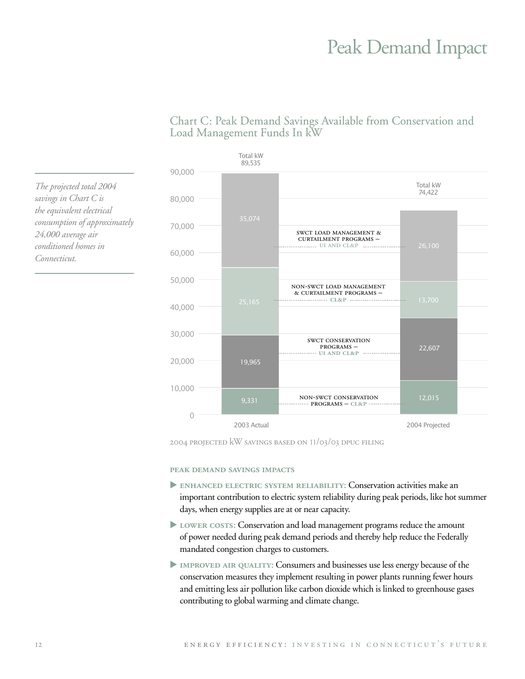## **Peak Demand Impact**



### Chart C: Peak Demand Savings Available from Conservation and Load Management Funds In kW

2004 PROJECTED KW SAVINGS BASED ON 11/03/03 DPUC FILING

PEAK DEMAND SAVINGS IMPACTS

- ENHANCED ELECTRIC SYSTEM RELIABILITY: Conservation activities make an important contribution to electric system reliability during peak periods, like hot summer days, when energy supplies are at or near capacity.
- LOWER COSTS: Conservation and load management programs reduce the amount of power needed during peak demand periods and thereby help reduce the Federally mandated congestion charges to customers.
- IMPROVED AIR QUALITY: Consumers and businesses use less energy because of the conservation measures they implement resulting in power plants running fewer hours and emitting less air pollution like carbon dioxide which is linked to greenhouse gases contributing to global warming and climate change.

The projected total 2004 savings in Chart C is the equivalent electrical consumption of approximately 24,000 average air conditioned homes in Connecticut.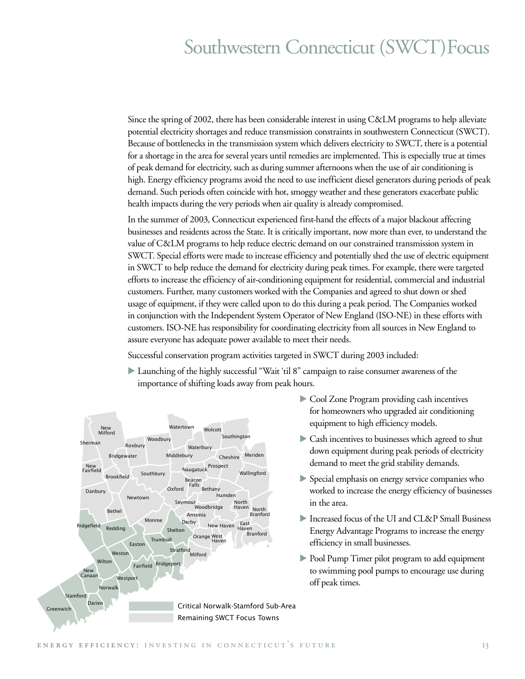## Southwestern Connecticut (SWCT) Focus

Since the spring of 2002, there has been considerable interest in using C&LM programs to help alleviate potential electricity shortages and reduce transmission constraints in southwestern Connecticut (SWCT). Because of bottlenecks in the transmission system which delivers electricity to SWCT, there is a potential for a shortage in the area for several years until remedies are implemented. This is especially true at times of peak demand for electricity, such as during summer afternoons when the use of air conditioning is high. Energy efficiency programs avoid the need to use inefficient diesel generators during periods of peak demand. Such periods often coincide with hot, smoggy weather and these generators exacerbate public health impacts during the very periods when air quality is already compromised.

In the summer of 2003, Connecticut experienced first-hand the effects of a major blackout affecting businesses and residents across the State. It is critically important, now more than ever, to understand the value of C&LM programs to help reduce electric demand on our constrained transmission system in SWCT. Special efforts were made to increase efficiency and potentially shed the use of electric equipment in SWCT to help reduce the demand for electricity during peak times. For example, there were targeted efforts to increase the efficiency of air-conditioning equipment for residential, commercial and industrial customers. Further, many customers worked with the Companies and agreed to shut down or shed usage of equipment, if they were called upon to do this during a peak period. The Companies worked in conjunction with the Independent System Operator of New England (ISO-NE) in these efforts with customers. ISO-NE has responsibility for coordinating electricity from all sources in New England to assure everyone has adequate power available to meet their needs.

Successful conservation program activities targeted in SWCT during 2003 included:

Launching of the highly successful "Wait 'til 8" campaign to raise consumer awareness of the importance of shifting loads away from peak hours.



- Cool Zone Program providing cash incentives for homeowners who upgraded air conditioning equipment to high efficiency models.
- Cash incentives to businesses which agreed to shut down equipment during peak periods of electricity demand to meet the grid stability demands.
- Special emphasis on energy service companies who worked to increase the energy efficiency of businesses in the area.
- Increased focus of the UI and CL&P Small Business Energy Advantage Programs to increase the energy efficiency in small businesses.
- Depol Pump Timer pilot program to add equipment to swimming pool pumps to encourage use during off peak times.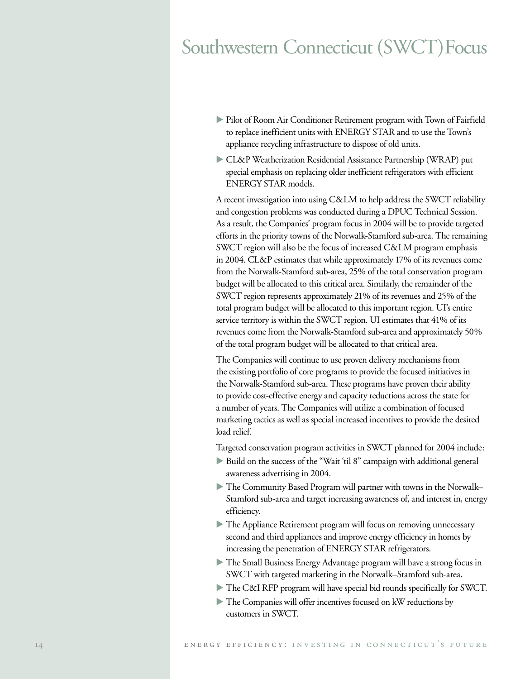## Southwestern Connecticut (SWCT) Focus

- Pilot of Room Air Conditioner Retirement program with Town of Fairfield to replace inefficient units with ENERGY STAR and to use the Town's appliance recycling infrastructure to dispose of old units.
- CL&P Weatherization Residential Assistance Partnership (WRAP) put special emphasis on replacing older inefficient refrigerators with efficient ENERGY STAR models.

A recent investigation into using C&LM to help address the SWCT reliability and congestion problems was conducted during a DPUC Technical Session. As a result, the Companies' program focus in 2004 will be to provide targeted efforts in the priority towns of the Norwalk-Stamford sub-area. The remaining SWCT region will also be the focus of increased C&LM program emphasis in 2004. CL&P estimates that while approximately 17% of its revenues come from the Norwalk-Stamford sub-area, 25% of the total conservation program budget will be allocated to this critical area. Similarly, the remainder of the SWCT region represents approximately 21% of its revenues and 25% of the total program budget will be allocated to this important region. UI's entire service territory is within the SWCT region. UI estimates that 41% of its revenues come from the Norwalk-Stamford sub-area and approximately 50% of the total program budget will be allocated to that critical area.

The Companies will continue to use proven delivery mechanisms from the existing portfolio of core programs to provide the focused initiatives in the Norwalk-Stamford sub-area. These programs have proven their ability to provide cost-effective energy and capacity reductions across the state for a number of years. The Companies will utilize a combination of focused marketing tactics as well as special increased incentives to provide the desired load relief.

Targeted conservation program activities in SWCT planned for 2004 include:

- Build on the success of the "Wait 'til 8" campaign with additional general awareness advertising in 2004.
- The Community Based Program will partner with towns in the Norwalk– Stamford sub-area and target increasing awareness of, and interest in, energy efficiency.
- The Appliance Retirement program will focus on removing unnecessary second and third appliances and improve energy efficiency in homes by increasing the penetration of ENERGY STAR refrigerators.
- The Small Business Energy Advantage program will have a strong focus in SWCT with targeted marketing in the Norwalk–Stamford sub-area.
- The C&I RFP program will have special bid rounds specifically for SWCT.
- The Companies will offer incentives focused on kW reductions by customers in SWCT.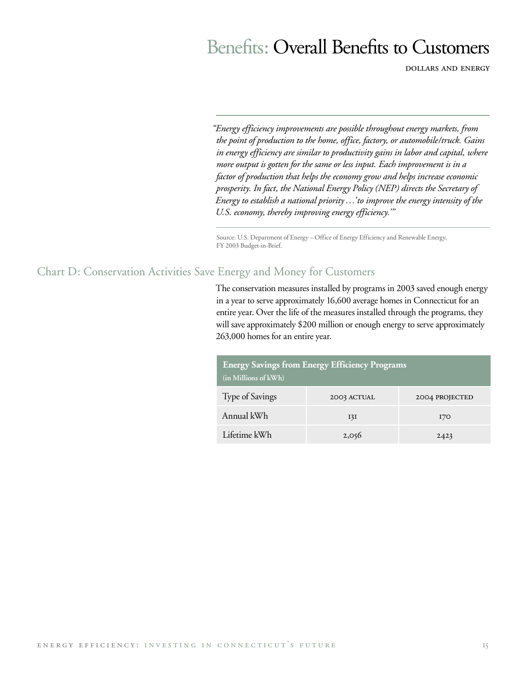## Benefits: Overall Benefits to Customers

dollars and energy

*"Energy efficiency improvements are possible throughout energy markets, from the point of production to the home, office, factory, or automobile/truck. Gains in energy efficiency are similar to productivity gains in labor and capital, where more output is gotten for the same or less input. Each improvement is in a factor of production that helps the economy grow and helps increase economic prosperity. In fact, the National Energy Policy (NEP) directs the Secretary of Energy to establish a national priority …'to improve the energy intensity of the U.S. economy, thereby improving energy efficiency.'"*

Source: U.S. Department of Energy – Office of Energy Efficiency and Renewable Energy, FY 2003 Budget-in-Brief.

### Chart D: Conservation Activities Save Energy and Money for Customers

The conservation measures installed by programs in 2003 saved enough energy in a year to serve approximately 16,600 average homes in Connecticut for an entire year. Over the life of the measures installed through the programs, they will save approximately \$200 million or enough energy to serve approximately 263,000 homes for an entire year.

| <b>Energy Savings from Energy Efficiency Programs</b><br>(in Millions of kWh) |             |                |  |
|-------------------------------------------------------------------------------|-------------|----------------|--|
| Type of Savings                                                               | 2003 ACTUAL | 2004 PROJECTED |  |
| Annual kWh                                                                    | I3I         | I70            |  |
| Lifetime kWh                                                                  | 2,056       | 2423           |  |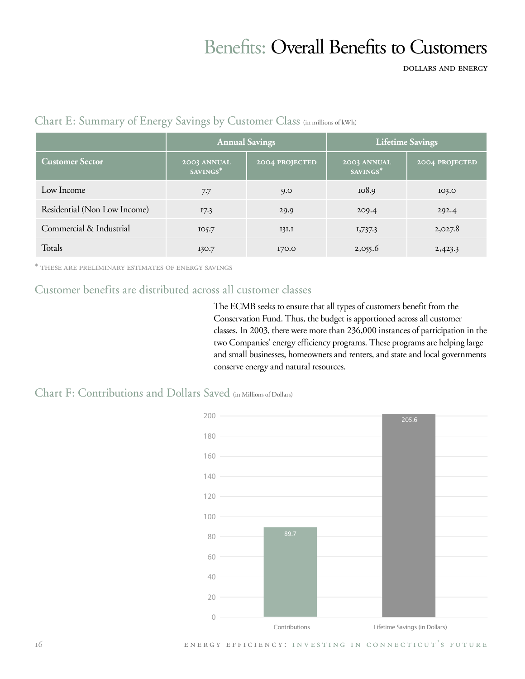# **Benefits: Overall Benefits to Customers**

**DOLLARS AND ENERGY** 

|                              | <b>Annual Savings</b>   |                       | Lifetime Savings        |                       |
|------------------------------|-------------------------|-----------------------|-------------------------|-----------------------|
| <b>Customer Sector</b>       | 2003 ANNUAL<br>SAVINGS* | <b>2004 PROJECTED</b> | 2003 ANNUAL<br>SAVINGS* | <b>2004 PROJECTED</b> |
| Low Income                   | 7.7                     | 9.0                   | 108.9                   | 103.0                 |
| Residential (Non Low Income) | 17.3                    | 29.9                  | 209.4                   | 292.4                 |
| Commercial & Industrial      | IO5.7                   | 13I.I                 | 1,737.3                 | 2,027.8               |
| Totals                       | 130.7                   | I70.0                 | 2,055.6                 | 2,423.3               |

### Chart E: Summary of Energy Savings by Customer Class (in millions of kWh)

\* THESE ARE PRELIMINARY ESTIMATES OF ENERGY SAVINGS

## Customer benefits are distributed across all customer classes

The ECMB seeks to ensure that all types of customers benefit from the Conservation Fund. Thus, the budget is apportioned across all customer classes. In 2003, there were more than 236,000 instances of participation in the two Companies' energy efficiency programs. These programs are helping large and small businesses, homeowners and renters, and state and local governments conserve energy and natural resources.

### Chart F: Contributions and Dollars Saved (in Millions of Dollars)



ENERGY EFFICIENCY: INVESTING IN CONNECTICUT'S FUTURE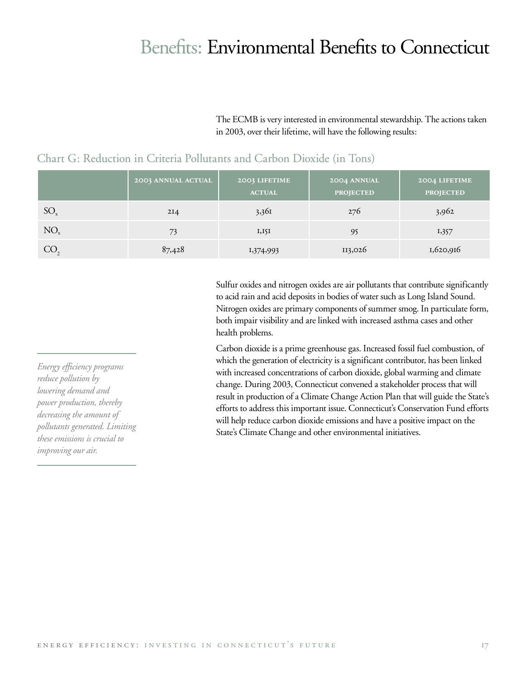## Benefits: Environmental Benefits to Connecticut

The ECMB is very interested in environmental stewardship. The actions taken in 2003, over their lifetime, will have the following results:

|                 | 2003 ANNUAL ACTUAL | 2003 LIFETIME<br><b>ACTUAL</b> | 2004 ANNUAL<br><b>PROJECTED</b> | 2004 LIFETIME<br><b>PROJECTED</b> |
|-----------------|--------------------|--------------------------------|---------------------------------|-----------------------------------|
| $SO_{x}$        | 2I <sub>4</sub>    | 3,36I                          | 276                             | 3,962                             |
| NO <sub>x</sub> | 73                 | $I, I \sim I$                  | 95                              | 1,357                             |
| CO <sub>2</sub> | 87,428             | 1,374,993                      | 113,026                         | 1,620,916                         |

### Chart G: Reduction in Criteria Pollutants and Carbon Dioxide (in Tons)

Sulfur oxides and nitrogen oxides are air pollutants that contribute significantly to acid rain and acid deposits in bodies of water such as Long Island Sound. Nitrogen oxides are primary components of summer smog. In particulate form, both impair visibility and are linked with increased asthma cases and other health problems.

Carbon dioxide is a prime greenhouse gas. Increased fossil fuel combustion, of which the generation of electricity is a significant contributor, has been linked with increased concentrations of carbon dioxide, global warming and climate change. During 2003, Connecticut convened a stakeholder process that will result in production of a Climate Change Action Plan that will guide the State's efforts to address this important issue. Connecticut's Conservation Fund efforts will help reduce carbon dioxide emissions and have a positive impact on the State's Climate Change and other environmental initiatives.

*Energy efficiency programs reduce pollution by lowering demand and power production, thereby decreasing the amount of pollutants generated. Limiting these emissions is crucial to improving our air.*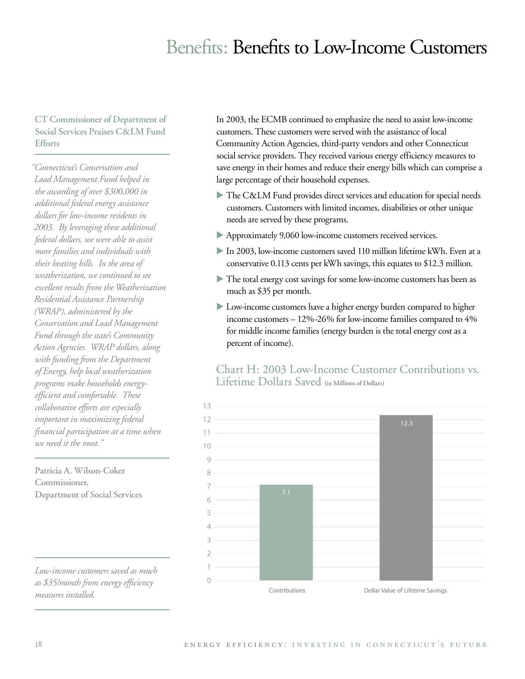## Benefits: Benefits to Low-Income Customers

### **CT Commissioner of Department of Social Services Praises C&LM Fund Efforts**

*"Connecticut's Conservation and Load Management Fund helped in the awarding of over \$300,000 in additional federal energy assistance dollars for low-income residents in 2003. By leveraging these additional federal dollars, we were able to assist more families and individuals with their heating bills. In the area of weatherization, we continued to see excellent results from the Weatherization Residential Assistance Partnership (WRAP), administered by the Conservation and Load Management Fund through the state's Community Action Agencies. WRAP dollars, along with funding from the Department of Energy, help local weatherization programs make households energyefficient and comfortable. These collaborative efforts are especially important in maximizing federal financial participation at a time when we need it the most."*

**Patricia A. Wilson-Coker Commissioner, Department of Social Services**

*Low-income customers saved as much as \$35/month from energy efficiency measures installed.*

In 2003, the ECMB continued to emphasize the need to assist low-income customers. These customers were served with the assistance of local Community Action Agencies, third-party vendors and other Connecticut social service providers. They received various energy efficiency measures to save energy in their homes and reduce their energy bills which can comprise a large percentage of their household expenses.

- The C&LM Fund provides direct services and education for special needs customers. Customers with limited incomes, disabilities or other unique needs are served by these programs.
- Approximately 9,060 low-income customers received services.
- In 2003, low-income customers saved 110 million lifetime kWh. Even at a conservative 0.113 cents per kWh savings, this equates to \$12.3 million.
- The total energy cost savings for some low-income customers has been as much as \$35 per month.
- Low-income customers have a higher energy burden compared to higher income customers – 12%-26% for low-income families compared to 4% for middle income families (energy burden is the total energy cost as a percent of income).

# Chart H: 2003 Low-Income Customer Contributions vs.<br>Lifetime Dollars Saved (in Millions of Dollars)

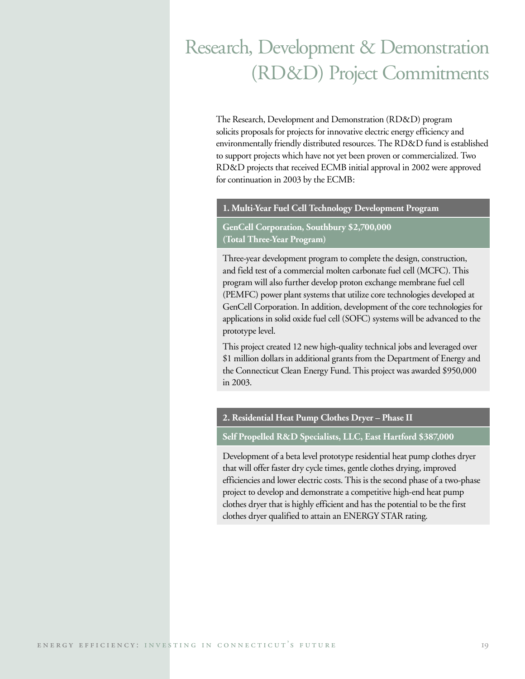# Research, Development & Demonstration (RD&D) Project Commitments

The Research, Development and Demonstration (RD&D) program solicits proposals for projects for innovative electric energy efficiency and environmentally friendly distributed resources. The RD&D fund is established to support projects which have not yet been proven or commercialized. Two RD&D projects that received ECMB initial approval in 2002 were approved for continuation in 2003 by the ECMB:

#### **1. Multi-Year Fuel Cell Technology Development Program**

#### **GenCell Corporation, Southbury \$2,700,000 (Total Three-Year Program)**

Three-year development program to complete the design, construction, and field test of a commercial molten carbonate fuel cell (MCFC). This program will also further develop proton exchange membrane fuel cell (PEMFC) power plant systems that utilize core technologies developed at GenCell Corporation. In addition, development of the core technologies for applications in solid oxide fuel cell (SOFC) systems will be advanced to the prototype level.

This project created 12 new high-quality technical jobs and leveraged over \$1 million dollars in additional grants from the Department of Energy and the Connecticut Clean Energy Fund. This project was awarded \$950,000 in 2003.

#### **2. Residential Heat Pump Clothes Dryer – Phase II**

#### **Self Propelled R&D Specialists, LLC, East Hartford \$387,000**

Development of a beta level prototype residential heat pump clothes dryer that will offer faster dry cycle times, gentle clothes drying, improved efficiencies and lower electric costs. This is the second phase of a two-phase project to develop and demonstrate a competitive high-end heat pump clothes dryer that is highly efficient and has the potential to be the first clothes dryer qualified to attain an ENERGY STAR rating.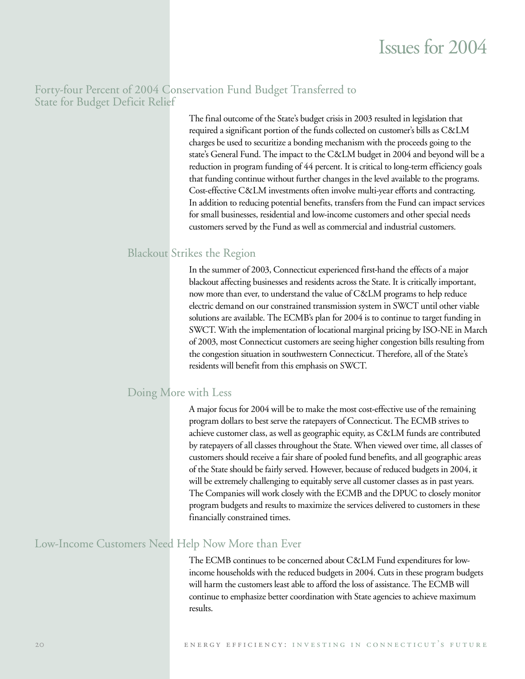### Forty-four Percent of 2004 Conservation Fund Budget Transferred to State for Budget Deficit Relief

The final outcome of the State's budget crisis in 2003 resulted in legislation that required a significant portion of the funds collected on customer's bills as C&LM charges be used to securitize a bonding mechanism with the proceeds going to the state's General Fund. The impact to the C&LM budget in 2004 and beyond will be a reduction in program funding of 44 percent. It is critical to long-term efficiency goals that funding continue without further changes in the level available to the programs. Cost-effective C&LM investments often involve multi-year efforts and contracting. In addition to reducing potential benefits, transfers from the Fund can impact services for small businesses, residential and low-income customers and other special needs customers served by the Fund as well as commercial and industrial customers.

### Blackout Strikes the Region

In the summer of 2003, Connecticut experienced first-hand the effects of a major blackout affecting businesses and residents across the State. It is critically important, now more than ever, to understand the value of C&LM programs to help reduce electric demand on our constrained transmission system in SWCT until other viable solutions are available. The ECMB's plan for 2004 is to continue to target funding in SWCT. With the implementation of locational marginal pricing by ISO-NE in March of 2003, most Connecticut customers are seeing higher congestion bills resulting from the congestion situation in southwestern Connecticut. Therefore, all of the State's residents will benefit from this emphasis on SWCT.

### Doing More with Less

A major focus for 2004 will be to make the most cost-effective use of the remaining program dollars to best serve the ratepayers of Connecticut. The ECMB strives to achieve customer class, as well as geographic equity, as C&LM funds are contributed by ratepayers of all classes throughout the State. When viewed over time, all classes of customers should receive a fair share of pooled fund benefits, and all geographic areas of the State should be fairly served. However, because of reduced budgets in 2004, it will be extremely challenging to equitably serve all customer classes as in past years. The Companies will work closely with the ECMB and the DPUC to closely monitor program budgets and results to maximize the services delivered to customers in these financially constrained times.

### Low-Income Customers Need Help Now More than Ever

The ECMB continues to be concerned about C&LM Fund expenditures for lowincome households with the reduced budgets in 2004. Cuts in these program budgets will harm the customers least able to afford the loss of assistance. The ECMB will continue to emphasize better coordination with State agencies to achieve maximum results.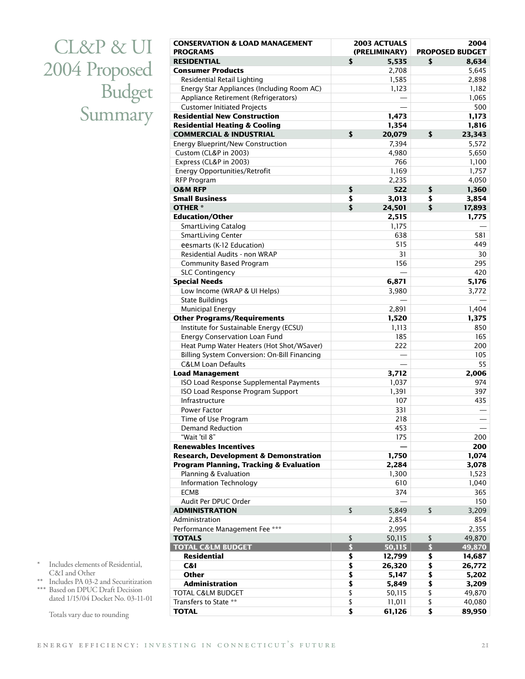CL&P & UI 2004 Proposed Budget Summary

| <b>CONSERVATION &amp; LOAD MANAGEMENT</b><br><b>PROGRAMS</b> |                      | <b>2003 ACTUALS</b><br>(PRELIMINARY) |                         | 2004<br><b>PROPOSED BUDGET</b> |
|--------------------------------------------------------------|----------------------|--------------------------------------|-------------------------|--------------------------------|
| <b>RESIDENTIAL</b>                                           | \$                   | 5,535                                | \$                      | 8,634                          |
| <b>Consumer Products</b>                                     |                      | 2,708                                |                         | 5,645                          |
| Residential Retail Lighting                                  |                      | 1,585                                |                         | 2,898                          |
| Energy Star Appliances (Including Room AC)                   |                      | 1,123                                |                         | 1,182                          |
| Appliance Retirement (Refrigerators)                         |                      |                                      |                         | 1,065                          |
| <b>Customer Initiated Projects</b>                           |                      |                                      |                         | 500                            |
| <b>Residential New Construction</b>                          |                      | 1,473                                |                         | 1,173                          |
| <b>Residential Heating &amp; Cooling</b>                     |                      | 1,354                                |                         | 1,816                          |
| <b>COMMERCIAL &amp; INDUSTRIAL</b>                           | \$                   | 20,079                               | \$                      | 23,343                         |
| Energy Blueprint/New Construction                            |                      | 7,394                                |                         | 5,572                          |
| Custom (CL&P in 2003)                                        |                      | 4,980                                |                         | 5,650                          |
| Express (CL&P in 2003)                                       |                      | 766                                  |                         | 1,100                          |
| Energy Opportunities/Retrofit                                |                      | 1,169                                |                         | 1,757                          |
| <b>RFP Program</b>                                           |                      | 2,235                                |                         | 4,050                          |
| <b>O&amp;M RFP</b>                                           | \$                   | 522                                  | \$                      | 1,360                          |
| <b>Small Business</b>                                        | \$                   | 3,013                                | \$                      | 3,854                          |
| <b>OTHER</b> *                                               | \$                   | 24,501                               | \$                      | 17,893                         |
| <b>Education/Other</b>                                       |                      | 2,515                                |                         | 1,775                          |
| SmartLiving Catalog                                          |                      | 1,175                                |                         |                                |
| SmartLiving Center                                           |                      | 638                                  |                         | 581                            |
| eesmarts (K-12 Education)                                    |                      | 515                                  |                         | 449                            |
| Residential Audits - non WRAP                                |                      | 31                                   |                         | 30                             |
| Community Based Program                                      |                      | 156                                  |                         | 295                            |
| <b>SLC Contingency</b>                                       |                      |                                      |                         | 420                            |
| <b>Special Needs</b>                                         |                      | 6,871                                |                         | 5,176                          |
| Low Income (WRAP & UI Helps)                                 |                      | 3,980                                |                         | 3,772                          |
| <b>State Buildings</b>                                       |                      |                                      |                         |                                |
| Municipal Energy                                             |                      | 2,891                                |                         | 1,404                          |
| <b>Other Programs/Requirements</b>                           |                      | 1,520                                |                         | 1,375                          |
| Institute for Sustainable Energy (ECSU)                      |                      | 1,113                                |                         | 850                            |
| Energy Conservation Loan Fund                                |                      | 185                                  |                         | 165                            |
| Heat Pump Water Heaters (Hot Shot/WSaver)                    |                      | 222                                  |                         | 200                            |
| Billing System Conversion: On-Bill Financing                 |                      |                                      |                         | 105                            |
| <b>C&amp;LM Loan Defaults</b>                                |                      |                                      |                         | 55                             |
| <b>Load Management</b>                                       |                      | 3,712                                |                         | 2,006                          |
| ISO Load Response Supplemental Payments                      |                      | 1,037                                |                         | 974                            |
| ISO Load Response Program Support                            |                      | 1,391                                |                         | 397                            |
| Infrastructure                                               |                      | 107                                  |                         | 435                            |
| Power Factor                                                 |                      | 331                                  |                         |                                |
| Time of Use Program                                          |                      | 218                                  |                         |                                |
| Demand Reduction<br>"Wait 'til 8"                            |                      | 453                                  |                         |                                |
| <b>Renewables Incentives</b>                                 |                      | 175                                  |                         | 200<br>200                     |
| <b>Research, Development &amp; Demonstration</b>             |                      | 1,750                                |                         | 1,074                          |
| Program Planning, Tracking & Evaluation                      |                      | 2,284                                |                         | 3,078                          |
| Planning & Evaluation                                        |                      | 1,300                                |                         | 1,523                          |
| Information Technology                                       |                      | 610                                  |                         | 1,040                          |
| <b>ECMB</b>                                                  |                      | 374                                  |                         | 365                            |
| Audit Per DPUC Order                                         |                      |                                      |                         | 150                            |
| <b>ADMINISTRATION</b>                                        | \$                   | 5,849                                | \$                      | 3,209                          |
| Administration                                               |                      | 2,854                                |                         | 854                            |
| Performance Management Fee ***                               |                      | 2,995                                |                         | 2,355                          |
| <b>TOTALS</b>                                                | \$                   | 50,115                               | \$                      | 49,870                         |
| <b>TOTAL C&amp;LM BUDGET</b>                                 | $\overline{\bullet}$ | 50,115                               | $\overline{\mathbf{S}}$ | 49,870                         |
| <b>Residential</b>                                           | \$                   | 12,799                               | \$                      | 14,687                         |
| C&I                                                          | \$                   | 26,320                               | \$                      | 26,772                         |
| Other                                                        | \$                   | 5,147                                | \$                      | 5,202                          |
| <b>Administration</b>                                        | \$                   | 5,849                                | \$                      | 3,209                          |
| TOTAL C&LM BUDGET                                            | \$                   | 50,115                               | \$                      | 49,870                         |
| Transfers to State **                                        | \$                   | 11,011                               | \$                      | 40,080                         |
| <b>TOTAL</b>                                                 | \$                   | 61,126                               | \$                      | 89,950                         |
|                                                              |                      |                                      |                         |                                |

- \* Includes elements of Residential, C&I and Other
- \*\* Includes PA 03-2 and Securitization
- \*\*\* Based on DPUC Draft Decision dated 1/15/04 Docket No. 03-11-01

Totals vary due to rounding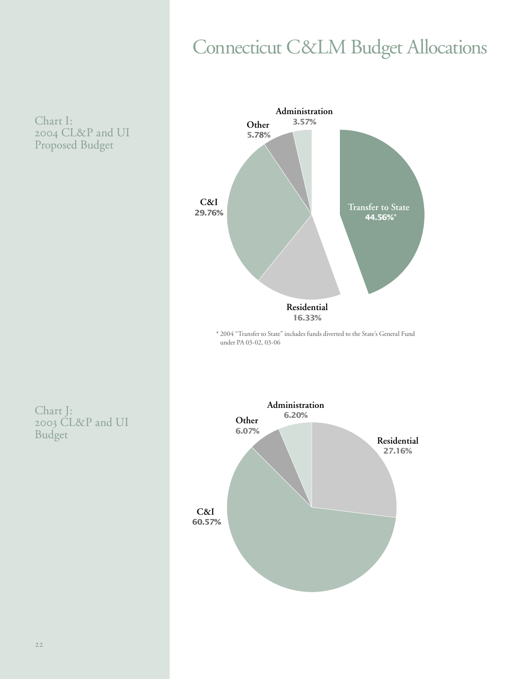# **Connecticut C&LM Budget Allocations**

Chart I: 2004 CL&P and UI Proposed Budget



\* 2004 "Transfer to State" includes funds diverted to the State's General Fund under PA 03-02, 03-06

Chart J: 2003 CL&P and UI Budget

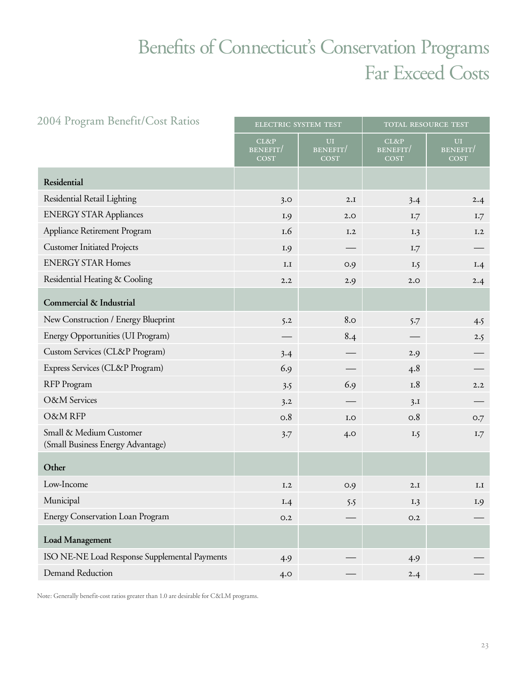# Benefits of Connecticut's Conservation Programs Far Exceed Costs

| 2004 Program Benefit/Cost Ratios                             | ELECTRIC SYSTEM TEST<br>TOTAL RESOURCE TEST |                                            |                                        |                               |
|--------------------------------------------------------------|---------------------------------------------|--------------------------------------------|----------------------------------------|-------------------------------|
|                                                              | CL&P<br>BENEFIT/<br><b>COST</b>             | <b>UI</b><br><b>BENEFIT</b><br><b>COST</b> | CL&P<br><b>BENEFIT/</b><br><b>COST</b> | UI<br>BENEFIT/<br><b>COST</b> |
| Residential                                                  |                                             |                                            |                                        |                               |
| Residential Retail Lighting                                  | 3.0                                         | 2.I                                        | 3.4                                    | 2.4                           |
| <b>ENERGY STAR Appliances</b>                                | I.9                                         | 2.0                                        | I.7                                    | 1.7                           |
| Appliance Retirement Program                                 | I.6                                         | I.2                                        | I.3                                    | I.2                           |
| <b>Customer Initiated Projects</b>                           | I.9                                         |                                            | I.7                                    |                               |
| <b>ENERGY STAR Homes</b>                                     | I.I                                         | 0.9                                        | I.5                                    | I.4                           |
| Residential Heating & Cooling                                | 2.2                                         | 2.9                                        | 2.0                                    | 2.4                           |
| Commercial & Industrial                                      |                                             |                                            |                                        |                               |
| New Construction / Energy Blueprint                          | 5.2                                         | 8.0                                        | 5.7                                    | 4.5                           |
| Energy Opportunities (UI Program)                            |                                             | 8.4                                        |                                        | 2.5                           |
| Custom Services (CL&P Program)                               | 3.4                                         |                                            | 2.9                                    |                               |
| Express Services (CL&P Program)                              | 6.9                                         |                                            | 4.8                                    |                               |
| RFP Program                                                  | 3.5                                         | 6.9                                        | I.8                                    | 2.2                           |
| <b>O&amp;M</b> Services                                      | 3.2                                         |                                            | 3.I                                    |                               |
| O&M RFP                                                      | O.8                                         | I.O                                        | 0.8                                    | 0.7                           |
| Small & Medium Customer<br>(Small Business Energy Advantage) | 3.7                                         | 4.0                                        | I.5                                    | 1.7                           |
| Other                                                        |                                             |                                            |                                        |                               |
| Low-Income                                                   | I.2                                         | O.9                                        | 2.I                                    | I.I                           |
| Municipal                                                    | I.4                                         | 5.5                                        | I.3                                    | I.9                           |
| Energy Conservation Loan Program                             | O.2                                         |                                            | O.2                                    |                               |
| <b>Load Management</b>                                       |                                             |                                            |                                        |                               |
| ISO NE-NE Load Response Supplemental Payments                | 4.9                                         |                                            | 4.9                                    |                               |
| Demand Reduction                                             | 4.0                                         |                                            | 2.4                                    |                               |

Note: Generally benefit-cost ratios greater than 1.0 are desirable for C&LM programs.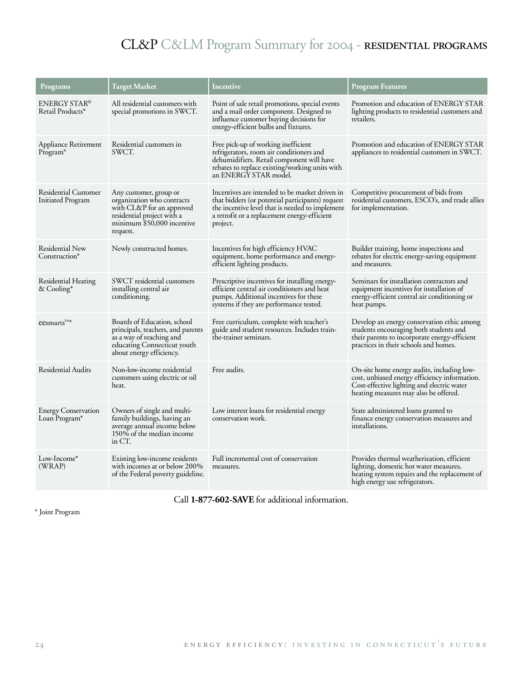## CL&P C&LM Program Summary for 2004 - residential programs

| Programs                                         | <b>Target Market</b>                                                                                                                                      | Incentive                                                                                                                                                                                                         | <b>Program Features</b>                                                                                                                                                            |
|--------------------------------------------------|-----------------------------------------------------------------------------------------------------------------------------------------------------------|-------------------------------------------------------------------------------------------------------------------------------------------------------------------------------------------------------------------|------------------------------------------------------------------------------------------------------------------------------------------------------------------------------------|
| ENERGY STAR®<br>Retail Products*                 | All residential customers with<br>special promotions in SWCT.                                                                                             | Point of sale retail promotions, special events<br>and a mail order component. Designed to<br>influence customer buying decisions for<br>energy-efficient bulbs and fixtures.                                     | Promotion and education of ENERGY STAR<br>lighting products to residential customers and<br>retailers.                                                                             |
| Appliance Retirement<br>$Program*$               | Residential customers in<br>SWCT.                                                                                                                         | Free pick-up of working inefficient<br>refrigerators, room air conditioners and<br>dehumidifiers. Retail component will have<br>rebates to replace existing/working units with<br>an ENERGY STAR model.           | Promotion and education of ENERGY STAR<br>appliances to residential customers in SWCT.                                                                                             |
| <b>Residential Customer</b><br>Initiated Program | Any customer, group or<br>organization who contracts<br>with CL&P for an approved<br>residential project with a<br>minimum \$50,000 incentive<br>request. | Incentives are intended to be market driven in<br>that bidders (or potential participants) request<br>the incentive level that is needed to implement<br>a retrofit or a replacement energy-efficient<br>project. | Competitive procurement of bids from<br>residential customers, ESCO's, and trade allies<br>for implementation.                                                                     |
| Residential New<br>Construction*                 | Newly constructed homes.                                                                                                                                  | Incentives for high efficiency HVAC<br>equipment, home performance and energy-<br>efficient lighting products.                                                                                                    | Builder training, home inspections and<br>rebates for electric energy-saving equipment<br>and measures.                                                                            |
| Residential Heating<br>& Cooling*                | SWCT residential customers<br>installing central air<br>conditioning.                                                                                     | Prescriptive incentives for installing energy-<br>efficient central air conditioners and heat<br>pumps. Additional incentives for these<br>systems if they are performance tested.                                | Seminars for installation contractors and<br>equipment incentives for installation of<br>energy-efficient central air conditioning or<br>heat pumps.                               |
| $e$ esmarts <sup>TM*</sup>                       | Boards of Education, school<br>principals, teachers, and parents<br>as a way of reaching and<br>educating Connecticut youth<br>about energy efficiency.   | Free curriculum, complete with teacher's<br>guide and student resources. Includes train-<br>the-trainer seminars.                                                                                                 | Develop an energy conservation ethic among<br>students encouraging both students and<br>their parents to incorporate energy-efficient<br>practices in their schools and homes.     |
| <b>Residential Audits</b>                        | Non-low-income residential<br>customers using electric or oil<br>heat.                                                                                    | Free audits.                                                                                                                                                                                                      | On-site home energy audits, including low-<br>cost, unbiased energy efficiency information.<br>Cost-effective lighting and electric water<br>heating measures may also be offered. |
| <b>Energy Conservation</b><br>Loan Program*      | Owners of single and multi-<br>family buildings, having an<br>average annual income below<br>150% of the median income<br>in CT.                          | Low interest loans for residential energy<br>conservation work.                                                                                                                                                   | State administered loans granted to<br>finance energy conservation measures and<br>installations.                                                                                  |
| Low-Income*<br>(WRAP)                            | Existing low-income residents<br>with incomes at or below 200%<br>of the Federal poverty guideline.                                                       | Full incremental cost of conservation<br>measures.                                                                                                                                                                | Provides thermal weatherization, efficient<br>lighting, domestic hot water measures,<br>heating system repairs and the replacement of<br>high energy use refrigerators.            |

Call **1-877-602-SAVE** for additional information.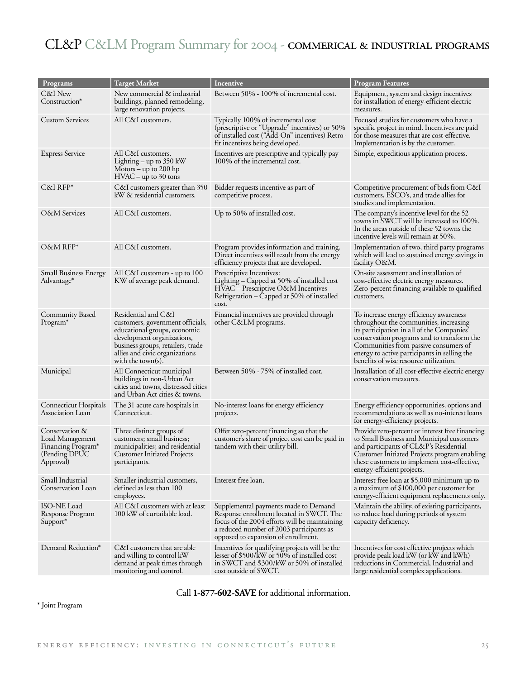## CL&P C&LM Program Summary for 2004 - commerical & industrial programs

| Programs                                                                                          | <b>Target Market</b>                                                                                                                                                                                                  | <b>Incentive</b>                                                                                                                                                                                                     | <b>Program Features</b>                                                                                                                                                                                                                                                                                          |
|---------------------------------------------------------------------------------------------------|-----------------------------------------------------------------------------------------------------------------------------------------------------------------------------------------------------------------------|----------------------------------------------------------------------------------------------------------------------------------------------------------------------------------------------------------------------|------------------------------------------------------------------------------------------------------------------------------------------------------------------------------------------------------------------------------------------------------------------------------------------------------------------|
| C&I New<br>Construction*                                                                          | New commercial & industrial<br>buildings, planned remodeling,<br>large renovation projects.                                                                                                                           | Between 50% - 100% of incremental cost.                                                                                                                                                                              | Equipment, system and design incentives<br>for installation of energy-efficient electric<br>measures.                                                                                                                                                                                                            |
| <b>Custom Services</b>                                                                            | All C&I customers.                                                                                                                                                                                                    | Typically 100% of incremental cost<br>(prescriptive or "Upgrade" incentives) or 50%<br>of installed cost ("Add-On" incentives) Retro-<br>fit incentives being developed.                                             | Focused studies for customers who have a<br>specific project in mind. Incentives are paid<br>for those measures that are cost-effective.<br>Implementation is by the customer.                                                                                                                                   |
| <b>Express Service</b>                                                                            | All C&I customers.<br>Lighting – up to $350 \text{ kW}$<br>Motors – up to 200 hp<br>$\text{HVAC}$ – up to 30 tons                                                                                                     | Incentives are prescriptive and typically pay<br>100% of the incremental cost.                                                                                                                                       | Simple, expeditious application process.                                                                                                                                                                                                                                                                         |
| $C&I RFP*$                                                                                        | C&I customers greater than 350<br>kW & residential customers.                                                                                                                                                         | Bidder requests incentive as part of<br>competitive process.                                                                                                                                                         | Competitive procurement of bids from C&I<br>customers, ESCO's, and trade allies for<br>studies and implementation.                                                                                                                                                                                               |
| O&M Services                                                                                      | All C&I customers.                                                                                                                                                                                                    | Up to 50% of installed cost.                                                                                                                                                                                         | The company's incentive level for the 52<br>towns in SWCT will be increased to 100%.<br>In the areas outside of these 52 towns the<br>incentive levels will remain at 50%.                                                                                                                                       |
| $O$ &M RFP*                                                                                       | All C&I customers.                                                                                                                                                                                                    | Program provides information and training.<br>Direct incentives will result from the energy<br>efficiency projects that are developed.                                                                               | Implementation of two, third party programs<br>which will lead to sustained energy savings in<br>facility O&M.                                                                                                                                                                                                   |
| <b>Small Business Energy</b><br>Advantage*                                                        | All C&I customers - up to 100<br>KW of average peak demand.                                                                                                                                                           | Prescriptive Incentives:<br>Lighting – Capped at 50% of installed cost<br>HVAC – Prescriptive O&M Incentives<br>Refrigeration - Capped at 50% of installed<br>cost.                                                  | On-site assessment and installation of<br>cost-effective electric energy measures.<br>Zero-percent financing available to qualified<br>customers.                                                                                                                                                                |
| <b>Community Based</b><br>Program*                                                                | Residential and C&I<br>customers, government officials,<br>educational groups, economic<br>development organizations,<br>business groups, retailers, trade<br>allies and civic organizations<br>with the town $(s)$ . | Financial incentives are provided through<br>other C&LM programs.                                                                                                                                                    | To increase energy efficiency awareness<br>throughout the communities, increasing<br>its participation in all of the Companies'<br>conservation programs and to transform the<br>Communities from passive consumers of<br>energy to active participants in selling the<br>benefits of wise resource utilization. |
| Municipal                                                                                         | All Connecticut municipal<br>buildings in non-Urban Act<br>cities and towns, distressed cities<br>and Urban Act cities & towns.                                                                                       | Between 50% - 75% of installed cost.                                                                                                                                                                                 | Installation of all cost-effective electric energy<br>conservation measures.                                                                                                                                                                                                                                     |
| Connecticut Hospitals<br>Association Loan                                                         | The 31 acute care hospitals in<br>Connecticut.                                                                                                                                                                        | No-interest loans for energy efficiency<br>projects.                                                                                                                                                                 | Energy efficiency opportunities, options and<br>recommendations as well as no-interest loans<br>for energy-efficiency projects.                                                                                                                                                                                  |
| Conservation &<br>Load Management<br>Financing Program <sup>*</sup><br>(Pending DPUC<br>Approval) | Three distinct groups of<br>customers; small business;<br>municipalities; and residential<br><b>Customer Initiated Projects</b><br>participants.                                                                      | Offer zero-percent financing so that the<br>customer's share of project cost can be paid in<br>tandem with their utility bill.                                                                                       | Provide zero-percent or interest free financing<br>to Small Business and Municipal customers<br>and participants of CL&P's Residential<br>Customer Initiated Projects program enabling<br>these customers to implement cost-effective,<br>energy-efficient projects.                                             |
| Small Industrial<br>Conservation Loan                                                             | Smaller industrial customers,<br>defined as less than 100<br>employees.                                                                                                                                               | Interest-free loan.                                                                                                                                                                                                  | Interest-free loan at \$5,000 minimum up to<br>a maximum of \$100,000 per customer for<br>energy-efficient equipment replacements only.                                                                                                                                                                          |
| ISO-NE Load<br>Response Program<br>Support*                                                       | All C&I customers with at least<br>100 kW of curtailable load.                                                                                                                                                        | Supplemental payments made to Demand<br>Response enrollment located in SWCT. The<br>focus of the 2004 efforts will be maintaining<br>a reduced number of 2003 participants as<br>opposed to expansion of enrollment. | Maintain the ability, of existing participants,<br>to reduce load during periods of system<br>capacity deficiency.                                                                                                                                                                                               |
| Demand Reduction*                                                                                 | C&I customers that are able<br>and willing to control kW<br>demand at peak times through<br>monitoring and control.                                                                                                   | Incentives for qualifying projects will be the<br>lesser of \$500/kW or 50% of installed cost<br>in SWCT and \$300/kW or 50% of installed<br>cost outside of SWCT.                                                   | Incentives for cost effective projects which<br>provide peak load kW (or kW and kWh)<br>reductions in Commercial, Industrial and<br>large residential complex applications.                                                                                                                                      |

Call **1-877-602-SAVE** for additional information.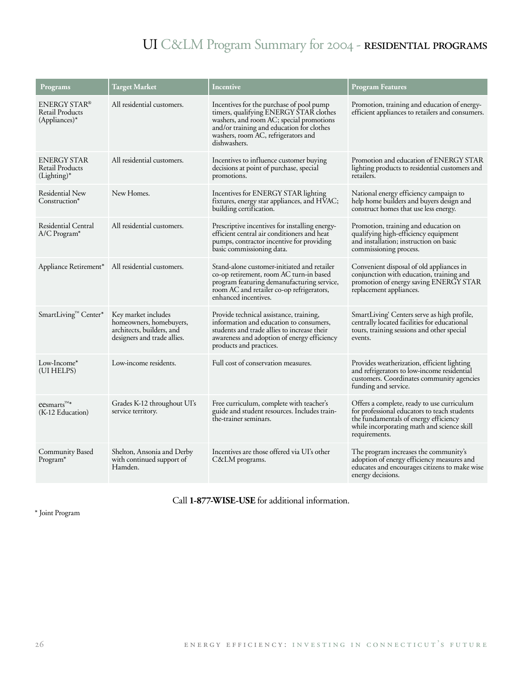## UI C&LM Program Summary for 2004 - RESIDENTIAL PROGRAMS

| Programs                                                          | <b>Target Market</b>                                                                                       | Incentive                                                                                                                                                                                                                          | <b>Program Features</b>                                                                                                                                                                            |
|-------------------------------------------------------------------|------------------------------------------------------------------------------------------------------------|------------------------------------------------------------------------------------------------------------------------------------------------------------------------------------------------------------------------------------|----------------------------------------------------------------------------------------------------------------------------------------------------------------------------------------------------|
| <b>ENERGY STAR®</b><br><b>Retail Products</b><br>$(Appliances)^*$ | All residential customers.                                                                                 | Incentives for the purchase of pool pump<br>timers, qualifying ENERGY STAR clothes<br>washers, and room AC; special promotions<br>and/or training and education for clothes<br>washers, room AC, refrigerators and<br>dishwashers. | Promotion, training and education of energy-<br>efficient appliances to retailers and consumers.                                                                                                   |
| ENERGY STAR<br>Retail Products<br>(Lighting)*                     | All residential customers.                                                                                 | Incentives to influence customer buying<br>decisions at point of purchase, special<br>promotions.                                                                                                                                  | Promotion and education of ENERGY STAR<br>lighting products to residential customers and<br>retailers.                                                                                             |
| Residential New<br>Construction*                                  | New Homes.                                                                                                 | Incentives for ENERGY STAR lighting<br>fixtures, energy star appliances, and HVAC;<br>building certification.                                                                                                                      | National energy efficiency campaign to<br>help home builders and buyers design and<br>construct homes that use less energy.                                                                        |
| Residential Central<br>A/C Program*                               | All residential customers.                                                                                 | Prescriptive incentives for installing energy-<br>efficient central air conditioners and heat<br>pumps, contractor incentive for providing<br>basic commissioning data.                                                            | Promotion, training and education on<br>qualifying high-efficiency equipment<br>and installation; instruction on basic<br>commissioning process.                                                   |
|                                                                   | Appliance Retirement* All residential customers.                                                           | Stand-alone customer-initiated and retailer<br>co-op retirement, room AC turn-in based<br>program featuring demanufacturing service,<br>room AC and retailer co-op refrigerators,<br>enhanced incentives.                          | Convenient disposal of old appliances in<br>conjunction with education, training and<br>promotion of energy saving ENERGY STAR<br>replacement appliances.                                          |
| SmartLiving™ Center*                                              | Key market includes<br>homeowners, homebuyers,<br>architects, builders, and<br>designers and trade allies. | Provide technical assistance, training,<br>information and education to consumers,<br>students and trade allies to increase their<br>awareness and adoption of energy efficiency<br>products and practices.                        | SmartLiving' Centers serve as high profile,<br>centrally located facilities for educational<br>tours, training sessions and other special<br>events.                                               |
| Low-Income*<br>(UI HELPS)                                         | Low-income residents.                                                                                      | Full cost of conservation measures.                                                                                                                                                                                                | Provides weatherization, efficient lighting<br>and refrigerators to low-income residential<br>customers. Coordinates community agencies<br>funding and service.                                    |
| $\mathrm{cesmarks}^{\mathrm{TM}*}$<br>(K-12 Education)            | Grades K-12 throughout UI's<br>service territory.                                                          | Free curriculum, complete with teacher's<br>guide and student resources. Includes train-<br>the-trainer seminars.                                                                                                                  | Offers a complete, ready to use curriculum<br>for professional educators to teach students<br>the fundamentals of energy efficiency<br>while incorporating math and science skill<br>requirements. |
| Community Based<br>Program*                                       | Shelton, Ansonia and Derby<br>with continued support of<br>Hamden.                                         | Incentives are those offered via UI's other<br>C&LM programs.                                                                                                                                                                      | The program increases the community's<br>adoption of energy efficiency measures and<br>educates and encourages citizens to make wise<br>energy decisions.                                          |

Call **1-877-WISE-USE** for additional information.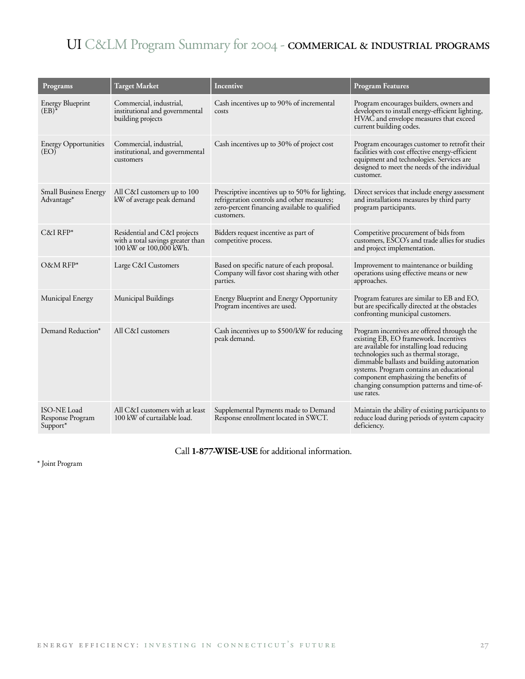## UI C&LM Program Summary for 2004 - commerical & industrial programs

| Programs                                           | Target Market                                                                               | Incentive                                                                                                                                                    | <b>Program Features</b>                                                                                                                                                                                                                                                                                                                                                  |
|----------------------------------------------------|---------------------------------------------------------------------------------------------|--------------------------------------------------------------------------------------------------------------------------------------------------------------|--------------------------------------------------------------------------------------------------------------------------------------------------------------------------------------------------------------------------------------------------------------------------------------------------------------------------------------------------------------------------|
| <b>Energy Blueprint</b><br>$(EB)^*$                | Commercial, industrial,<br>institutional and governmental<br>building projects              | Cash incentives up to 90% of incremental<br>costs                                                                                                            | Program encourages builders, owners and<br>developers to install energy-efficient lighting,<br>HVAC and envelope measures that exceed<br>current building codes.                                                                                                                                                                                                         |
| <b>Energy Opportunities</b><br>(EO)                | Commercial, industrial,<br>institutional, and governmental<br>customers                     | Cash incentives up to 30% of project cost                                                                                                                    | Program encourages customer to retrofit their<br>facilities with cost effective energy-efficient<br>equipment and technologies. Services are<br>designed to meet the needs of the individual<br>customer.                                                                                                                                                                |
| <b>Small Business Energy</b><br>Advantage*         | All C&I customers up to 100<br>kW of average peak demand                                    | Prescriptive incentives up to 50% for lighting,<br>refrigeration controls and other measures;<br>zero-percent financing available to qualified<br>customers. | Direct services that include energy assessment<br>and installations measures by third party<br>program participants.                                                                                                                                                                                                                                                     |
| $C&I$ RFP*                                         | Residential and C&I projects<br>with a total savings greater than<br>100 kW or 100,000 kWh. | Bidders request incentive as part of<br>competitive process.                                                                                                 | Competitive procurement of bids from<br>customers, ESCO's and trade allies for studies<br>and project implementation.                                                                                                                                                                                                                                                    |
| O&M RFP*                                           | Large C&I Customers                                                                         | Based on specific nature of each proposal.<br>Company will favor cost sharing with other<br>parties.                                                         | Improvement to maintenance or building<br>operations using effective means or new<br>approaches.                                                                                                                                                                                                                                                                         |
| Municipal Energy                                   | Municipal Buildings                                                                         | Energy Blueprint and Energy Opportunity<br>Program incentives are used.                                                                                      | Program features are similar to EB and EO,<br>but are specifically directed at the obstacles<br>confronting municipal customers.                                                                                                                                                                                                                                         |
| Demand Reduction*                                  | All C&I customers                                                                           | Cash incentives up to \$500/kW for reducing<br>peak demand.                                                                                                  | Program incentives are offered through the<br>existing EB, EO framework. Incentives<br>are available for installing load reducing<br>technologies such as thermal storage,<br>dimmable ballasts and building automation<br>systems. Program contains an educational<br>component emphasizing the benefits of<br>changing consumption patterns and time-of-<br>use rates. |
| <b>ISO-NE Load</b><br>Response Program<br>Support* | All C&I customers with at least<br>100 kW of curtailable load.                              | Supplemental Payments made to Demand<br>Response enrollment located in SWCT.                                                                                 | Maintain the ability of existing participants to<br>reduce load during periods of system capacity<br>deficiency.                                                                                                                                                                                                                                                         |

Call **1-877-WISE-USE** for additional information.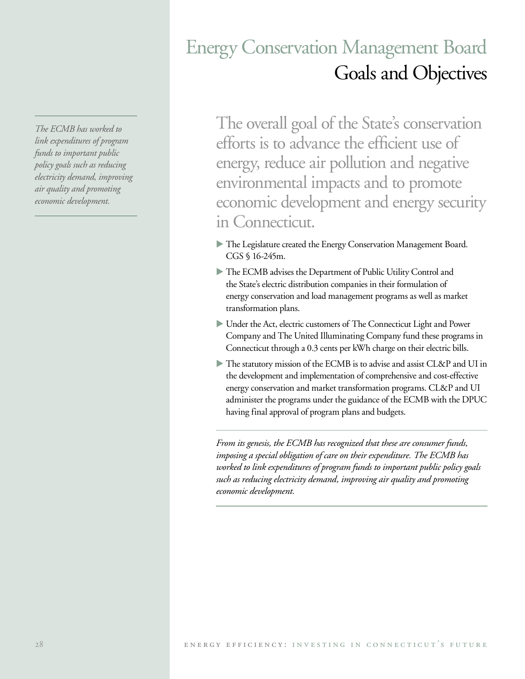*The ECMB has worked to link expenditures of program funds to important public policy goals such as reducing electricity demand, improving air quality and promoting economic development.*

# Energy Conservation Management Board Goals and Objectives

The overall goal of the State's conservation efforts is to advance the efficient use of energy, reduce air pollution and negative environmental impacts and to promote economic development and energy security in Connecticut.

- The Legislature created the Energy Conservation Management Board. CGS § 16-245m.
- The ECMB advises the Department of Public Utility Control and the State's electric distribution companies in their formulation of energy conservation and load management programs as well as market transformation plans.
- Under the Act, electric customers of The Connecticut Light and Power Company and The United Illuminating Company fund these programs in Connecticut through a 0.3 cents per kWh charge on their electric bills.
- The statutory mission of the ECMB is to advise and assist CL&P and UI in the development and implementation of comprehensive and cost-effective energy conservation and market transformation programs. CL&P and UI administer the programs under the guidance of the ECMB with the DPUC having final approval of program plans and budgets.

*From its genesis, the ECMB has recognized that these are consumer funds, imposing a special obligation of care on their expenditure. The ECMB has worked to link expenditures of program funds to important public policy goals such as reducing electricity demand, improving air quality and promoting economic development.*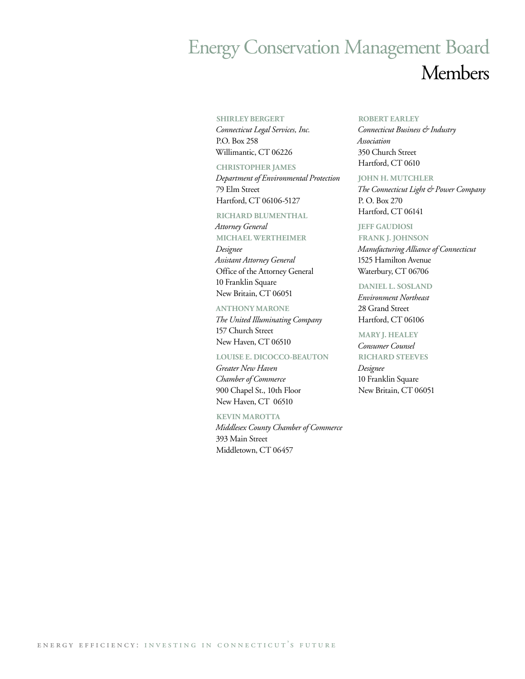# Energy Conservation Management Board Members

#### **SHIRLEY BERGERT**

*Connecticut Legal Services, Inc.* P.O. Box 258 Willimantic, CT 06226

#### **CHRISTOPHER JAMES**

*Department of Environmental Protection* 79 Elm Street Hartford, CT 06106-5127

#### **RICHARD BLUMENTHAL**

*Attorney General* **MICHAEL WERTHEIMER** *Designee Assistant Attorney General* Office of the Attorney General 10 Franklin Square New Britain, CT 06051

#### **ANTHONY MARONE**

*The United Illuminating Company* 157 Church Street New Haven, CT 06510

#### **LOUISE E. DICOCCO-BEAUTON**

*Greater New Haven Chamber of Commerce* 900 Chapel St., 10th Floor New Haven, CT 06510

#### **KEVIN MAROTTA**

*Middlesex County Chamber of Commerce* 393 Main Street Middletown, CT 06457

#### **ROBERT EARLEY**

*Connecticut Business & Industry Association* 350 Church Street Hartford, CT 0610

#### **JOHN H. MUTCHLER**

*The Connecticut Light & Power Company* P. O. Box 270 Hartford, CT 06141

#### **JEFF GAUDIOSI**

**FRANK J. JOHNSON** *Manufacturing Alliance of Connecticut* 1525 Hamilton Avenue Waterbury, CT 06706

#### **DANIEL L. SOSLAND**

*Environment Northeast* 28 Grand Street Hartford, CT 06106

#### **MARY J. HEALEY**

*Consumer Counsel* **RICHARD STEEVES**

*Designee* 10 Franklin Square New Britain, CT 06051